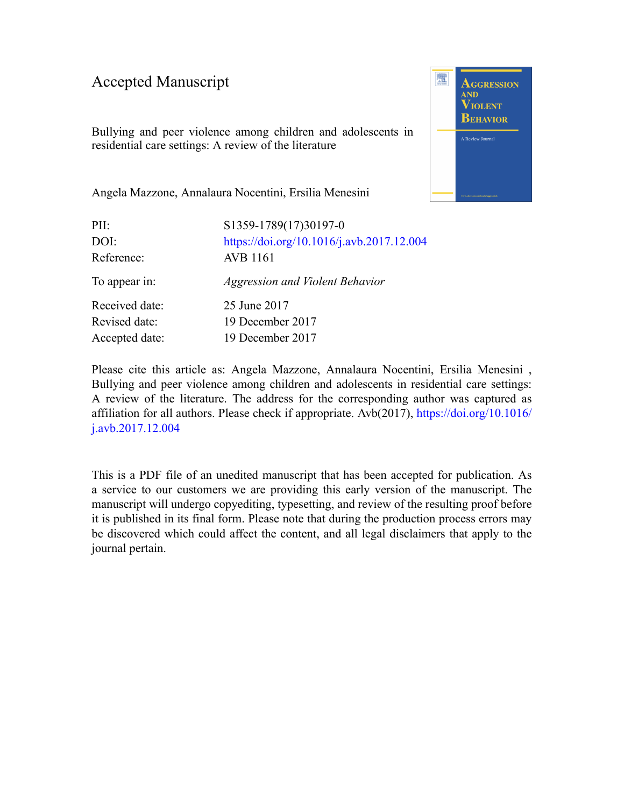#### Accepted Manuscript

Bullying and peer violence among children and adolescents in residential care settings: A review of the literature



Angela Mazzone, Annalaura Nocentini, Ersilia Menesini

| PII:           | S1359-1789(17)30197-0                     |
|----------------|-------------------------------------------|
| DOI:           | https://doi.org/10.1016/j.avb.2017.12.004 |
| Reference:     | <b>AVB</b> 1161                           |
| To appear in:  | <b>Aggression and Violent Behavior</b>    |
| Received date: | 25 June 2017                              |
| Revised date:  | 19 December 2017                          |
| Accepted date: | 19 December 2017                          |

Please cite this article as: Angela Mazzone, Annalaura Nocentini, Ersilia Menesini , Bullying and peer violence among children and adolescents in residential care settings: A review of the literature. The address for the corresponding author was captured as affiliation for all authors. Please check if appropriate. Avb(2017), [https://doi.org/10.1016/](https://doi.org/10.1016/j.avb.2017.12.004) [j.avb.2017.12.004](https://doi.org/10.1016/j.avb.2017.12.004)

This is a PDF file of an unedited manuscript that has been accepted for publication. As a service to our customers we are providing this early version of the manuscript. The manuscript will undergo copyediting, typesetting, and review of the resulting proof before it is published in its final form. Please note that during the production process errors may be discovered which could affect the content, and all legal disclaimers that apply to the journal pertain.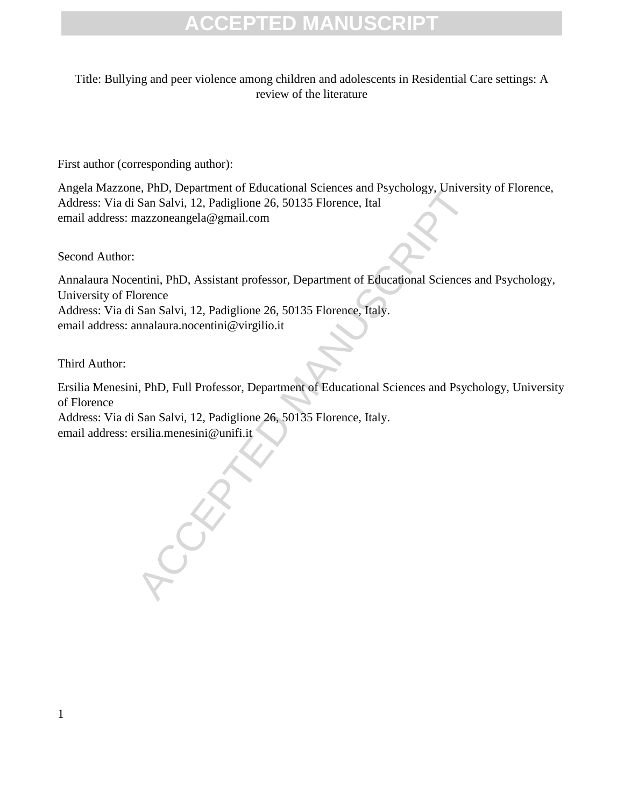Title: Bullying and peer violence among children and adolescents in Residential Care settings: A review of the literature

First author (corresponding author):

Angela Mazzone, PhD, Department of Educational Sciences and Psychology, University of Florence, Address: Via di San Salvi, 12, Padiglione 26, 50135 Florence, Ital email address: mazzoneangela@gmail.com

Second Author:

Annalaura Nocentini, PhD, Assistant professor, Department of Educational Sciences and Psychology, University of Florence Address: Via di San Salvi, 12, Padiglione 26, 50135 Florence, Italy. email address: annalaura.nocentini@virgilio.it

Third Author:

Ersilia Menesini, PhD, Full Professor, Department of Educational Sciences and Psychology, University of Florence

Address: Via di San Salvi, 12, Padiglione 26, 50135 Florence, Italy. email address: ersilia.menesini@unifi.it

CCERT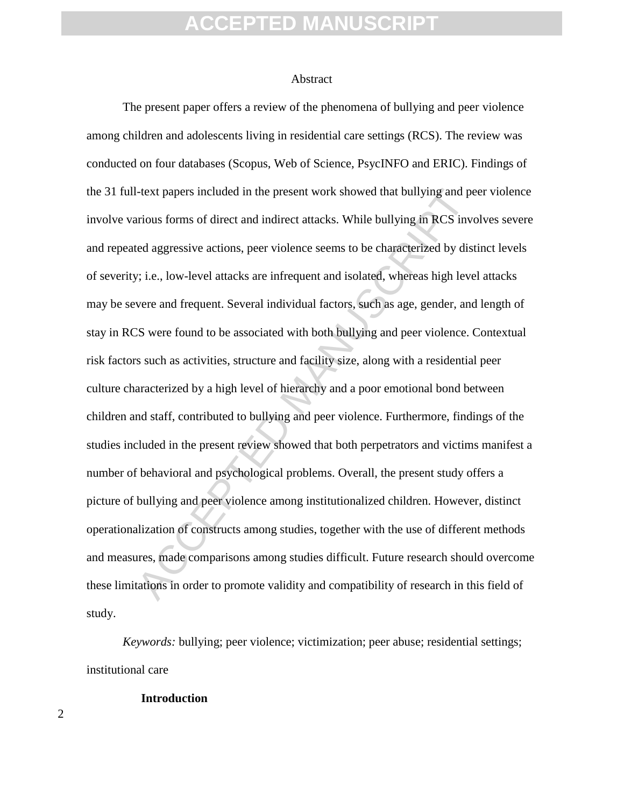#### Abstract

-lext papers included in the present work showed that bullying and pe<br>trious forms of direct and indirect attacks. While bullying in RCS inve<br>d aggressive actions, peer violence seems to be characterized by dist<br>v; i.e., l The present paper offers a review of the phenomena of bullying and peer violence among children and adolescents living in residential care settings (RCS). The review was conducted on four databases (Scopus, Web of Science, PsycINFO and ERIC). Findings of the 31 full-text papers included in the present work showed that bullying and peer violence involve various forms of direct and indirect attacks. While bullying in RCS involves severe and repeated aggressive actions, peer violence seems to be characterized by distinct levels of severity; i.e., low-level attacks are infrequent and isolated, whereas high level attacks may be severe and frequent. Several individual factors, such as age, gender, and length of stay in RCS were found to be associated with both bullying and peer violence. Contextual risk factors such as activities, structure and facility size, along with a residential peer culture characterized by a high level of hierarchy and a poor emotional bond between children and staff, contributed to bullying and peer violence. Furthermore, findings of the studies included in the present review showed that both perpetrators and victims manifest a number of behavioral and psychological problems. Overall, the present study offers a picture of bullying and peer violence among institutionalized children. However, distinct operationalization of constructs among studies, together with the use of different methods and measures, made comparisons among studies difficult. Future research should overcome these limitations in order to promote validity and compatibility of research in this field of study.

*Keywords:* bullying; peer violence; victimization; peer abuse; residential settings; institutional care

#### **Introduction**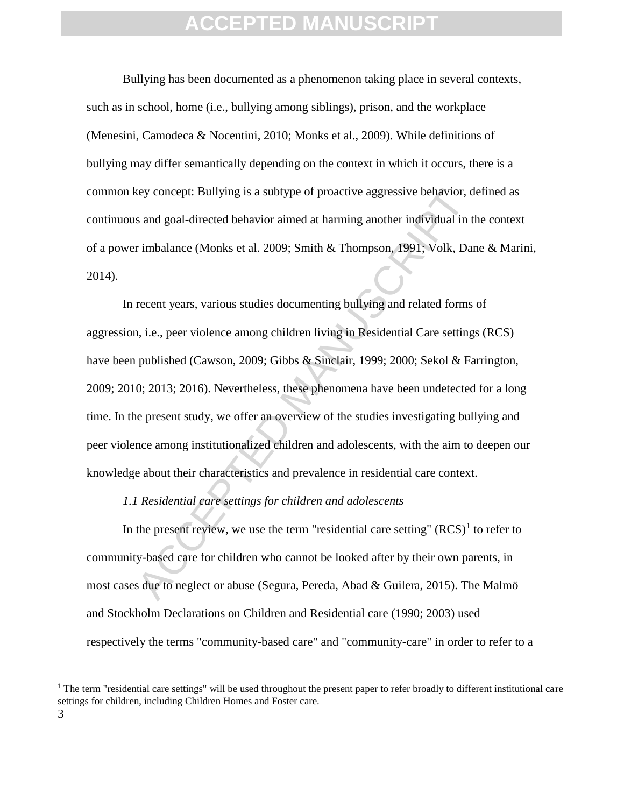Bullying has been documented as a phenomenon taking place in several contexts, such as in school, home (i.e., bullying among siblings), prison, and the workplace (Menesini, Camodeca & Nocentini, 2010; Monks et al., 2009). While definitions of bullying may differ semantically depending on the context in which it occurs, there is a common key concept: Bullying is a subtype of proactive aggressive behavior, defined as continuous and goal-directed behavior aimed at harming another individual in the context of a power imbalance (Monks et al. 2009; Smith & Thompson, 1991; Volk, Dane & Marini, 2014).

tey concept: Bullying is a subtype of proactive aggressive behavior, d<br>s and goal-directed behavior aimed at harming another individual in t<br>imbalance (Monks et al. 2009; Smith & Thompson, 1991; Volk, Dan<br>recent years, va In recent years, various studies documenting bullying and related forms of aggression, i.e., peer violence among children living in Residential Care settings (RCS) have been published (Cawson, 2009; Gibbs & Sinclair, 1999; 2000; Sekol & Farrington, 2009; 2010; 2013; 2016). Nevertheless, these phenomena have been undetected for a long time. In the present study, we offer an overview of the studies investigating bullying and peer violence among institutionalized children and adolescents, with the aim to deepen our knowledge about their characteristics and prevalence in residential care context.

#### *1.1 Residential care settings for children and adolescents*

In the present review, we use the term "residential care setting"  $(RCS)^1$  to refer to community-based care for children who cannot be looked after by their own parents, in most cases due to neglect or abuse (Segura, Pereda, Abad & Guilera, 2015). The Malmö and Stockholm Declarations on Children and Residential care (1990; 2003) used respectively the terms "community-based care" and "community-care" in order to refer to a

l

 $1$ <sup>1</sup> The term "residential care settings" will be used throughout the present paper to refer broadly to different institutional care settings for children, including Children Homes and Foster care.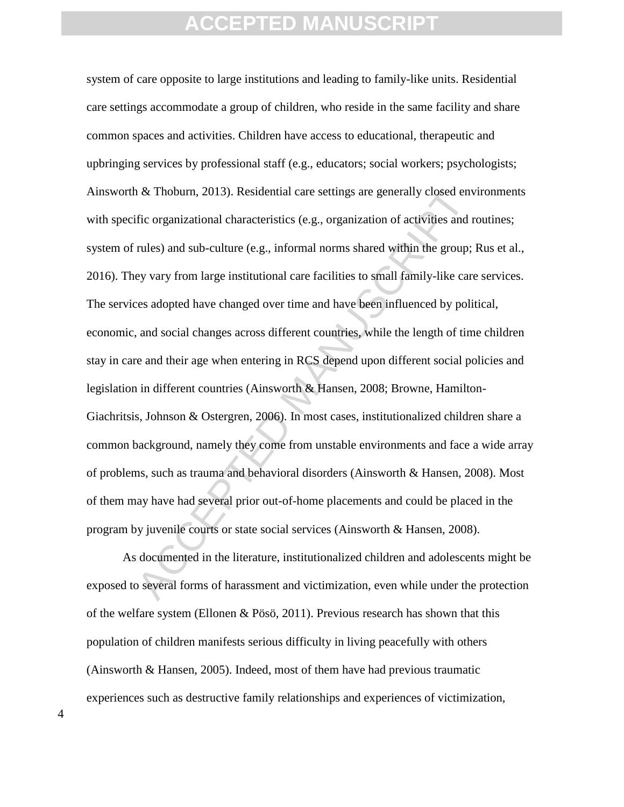ACCED As Thoburn, 2013). Residential care settings are generally closed env<br>fic organizational characteristics (e.g., organization of activities and r<br>ules) and sub-culture (e.g., informal norms shared within the group;<br>ey system of care opposite to large institutions and leading to family-like units. Residential care settings accommodate a group of children, who reside in the same facility and share common spaces and activities. Children have access to educational, therapeutic and upbringing services by professional staff (e.g., educators; social workers; psychologists; Ainsworth & Thoburn, 2013). Residential care settings are generally closed environments with specific organizational characteristics (e.g., organization of activities and routines; system of rules) and sub-culture (e.g., informal norms shared within the group; Rus et al., 2016). They vary from large institutional care facilities to small family-like care services. The services adopted have changed over time and have been influenced by political, economic, and social changes across different countries, while the length of time children stay in care and their age when entering in RCS depend upon different social policies and legislation in different countries (Ainsworth & Hansen, 2008; Browne, Hamilton-Giachritsis, Johnson & Ostergren, 2006). In most cases, institutionalized children share a common background, namely they come from unstable environments and face a wide array of problems, such as trauma and behavioral disorders (Ainsworth & Hansen, 2008). Most of them may have had several prior out-of-home placements and could be placed in the program by juvenile courts or state social services (Ainsworth & Hansen, 2008).

As documented in the literature, institutionalized children and adolescents might be exposed to several forms of harassment and victimization, even while under the protection of the welfare system (Ellonen & Pösö, 2011). Previous research has shown that this population of children manifests serious difficulty in living peacefully with others (Ainsworth & Hansen, 2005). Indeed, most of them have had previous traumatic experiences such as destructive family relationships and experiences of victimization,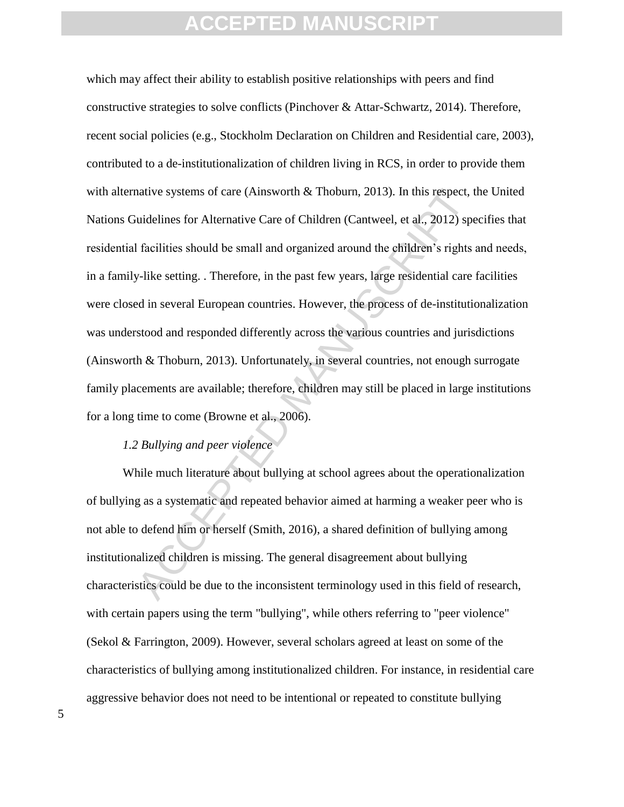native systems of care (Ainsworth & Thoburn, 2013). In this respect, tuidelines for Alternative Care of Children (Cantweel, et al., 2012) specifies should be small and organized around the children's rights y-like setting. which may affect their ability to establish positive relationships with peers and find constructive strategies to solve conflicts (Pinchover & Attar-Schwartz, 2014). Therefore, recent social policies (e.g., Stockholm Declaration on Children and Residential care, 2003), contributed to a de-institutionalization of children living in RCS, in order to provide them with alternative systems of care (Ainsworth & Thoburn, 2013). In this respect, the United Nations Guidelines for Alternative Care of Children (Cantweel, et al., 2012) specifies that residential facilities should be small and organized around the children's rights and needs, in a family-like setting. . Therefore, in the past few years, large residential care facilities were closed in several European countries. However, the process of de-institutionalization was understood and responded differently across the various countries and jurisdictions (Ainsworth & Thoburn, 2013). Unfortunately, in several countries, not enough surrogate family placements are available; therefore, children may still be placed in large institutions for a long time to come (Browne et al., 2006).

#### *1.2 Bullying and peer violence*

While much literature about bullying at school agrees about the operationalization of bullying as a systematic and repeated behavior aimed at harming a weaker peer who is not able to defend him or herself (Smith, 2016), a shared definition of bullying among institutionalized children is missing. The general disagreement about bullying characteristics could be due to the inconsistent terminology used in this field of research, with certain papers using the term "bullying", while others referring to "peer violence" (Sekol & Farrington, 2009). However, several scholars agreed at least on some of the characteristics of bullying among institutionalized children. For instance, in residential care aggressive behavior does not need to be intentional or repeated to constitute bullying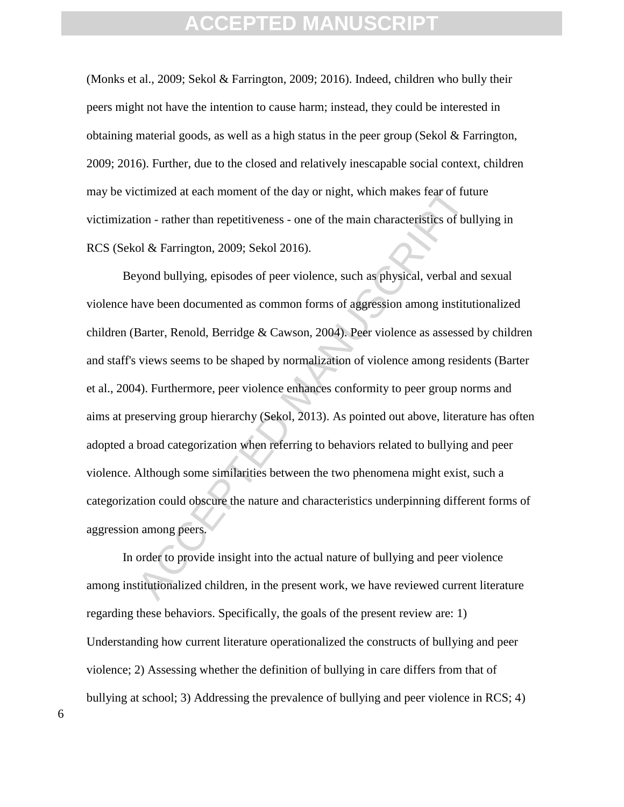(Monks et al., 2009; Sekol & Farrington, 2009; 2016). Indeed, children who bully their peers might not have the intention to cause harm; instead, they could be interested in obtaining material goods, as well as a high status in the peer group (Sekol & Farrington, 2009; 2016). Further, due to the closed and relatively inescapable social context, children may be victimized at each moment of the day or night, which makes fear of future victimization - rather than repetitiveness - one of the main characteristics of bullying in RCS (Sekol & Farrington, 2009; Sekol 2016).

ctimized at each moment of the day or night, which makes fear of futtion - rather than repetitiveness - one of the main characteristics of bul of & Farrington, 2009; Sekol 2016).<br>
yond bullying, episodes of peer violence, Beyond bullying, episodes of peer violence, such as physical, verbal and sexual violence have been documented as common forms of aggression among institutionalized children (Barter, Renold, Berridge & Cawson, 2004). Peer violence as assessed by children and staff's views seems to be shaped by normalization of violence among residents (Barter et al., 2004). Furthermore, peer violence enhances conformity to peer group norms and aims at preserving group hierarchy (Sekol, 2013). As pointed out above, literature has often adopted a broad categorization when referring to behaviors related to bullying and peer violence. Although some similarities between the two phenomena might exist, such a categorization could obscure the nature and characteristics underpinning different forms of aggression among peers.

In order to provide insight into the actual nature of bullying and peer violence among institutionalized children, in the present work, we have reviewed current literature regarding these behaviors. Specifically, the goals of the present review are: 1) Understanding how current literature operationalized the constructs of bullying and peer violence; 2) Assessing whether the definition of bullying in care differs from that of bullying at school; 3) Addressing the prevalence of bullying and peer violence in RCS; 4)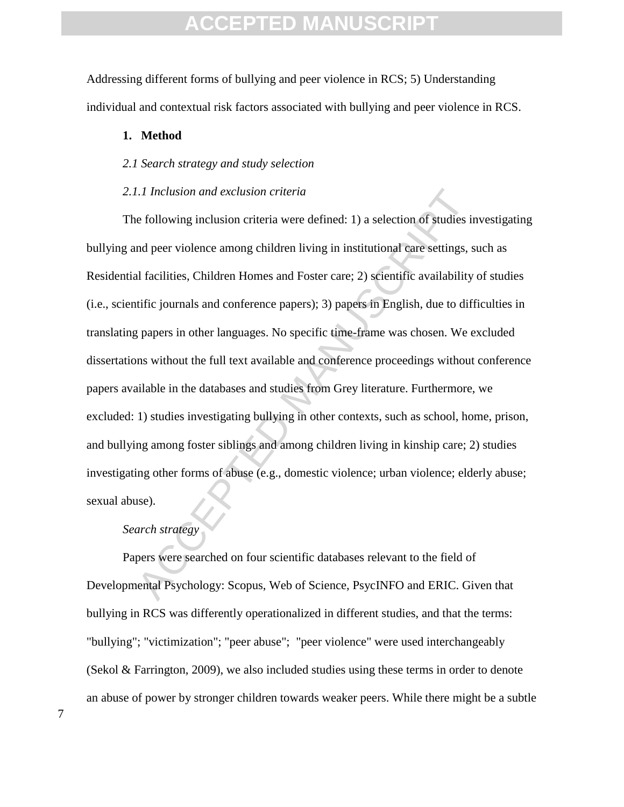Addressing different forms of bullying and peer violence in RCS; 5) Understanding individual and contextual risk factors associated with bullying and peer violence in RCS.

#### **1. Method**

#### *2.1 Search strategy and study selection*

#### *2.1.1 Inclusion and exclusion criteria*

*I.I Inclusion and exclusion criteria*<br>
e following inclusion criteria were defined: 1) a selection of studies in<br>
a peer violence among children living in institutional care settings, s<br>
al facilities, Children Homes and The following inclusion criteria were defined: 1) a selection of studies investigating bullying and peer violence among children living in institutional care settings, such as Residential facilities, Children Homes and Foster care; 2) scientific availability of studies (i.e., scientific journals and conference papers); 3) papers in English, due to difficulties in translating papers in other languages. No specific time-frame was chosen. We excluded dissertations without the full text available and conference proceedings without conference papers available in the databases and studies from Grey literature. Furthermore, we excluded: 1) studies investigating bullying in other contexts, such as school, home, prison, and bullying among foster siblings and among children living in kinship care; 2) studies investigating other forms of abuse (e.g., domestic violence; urban violence; elderly abuse; sexual abuse).

#### *Search strategy*

Papers were searched on four scientific databases relevant to the field of Developmental Psychology: Scopus, Web of Science, PsycINFO and ERIC. Given that bullying in RCS was differently operationalized in different studies, and that the terms: "bullying"; "victimization"; "peer abuse"; "peer violence" were used interchangeably (Sekol & Farrington, 2009), we also included studies using these terms in order to denote an abuse of power by stronger children towards weaker peers. While there might be a subtle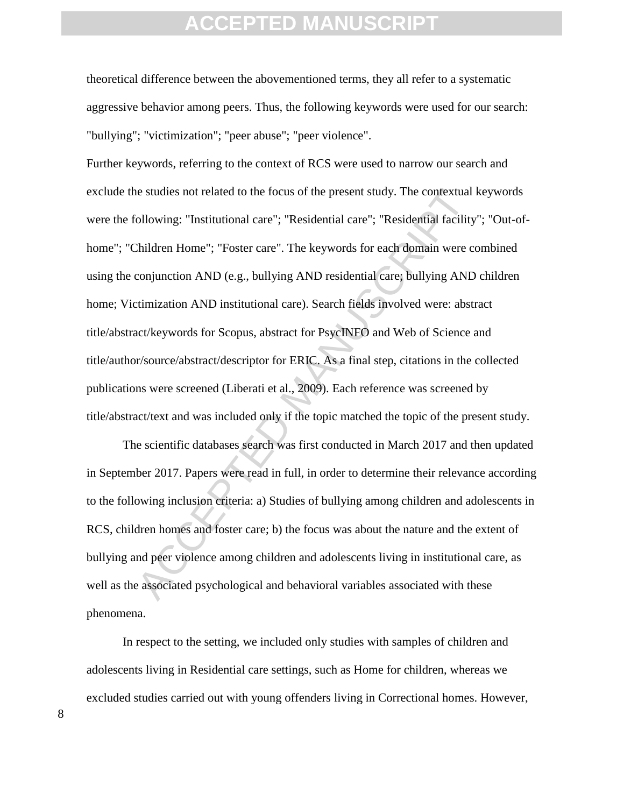theoretical difference between the abovementioned terms, they all refer to a systematic aggressive behavior among peers. Thus, the following keywords were used for our search: "bullying"; "victimization"; "peer abuse"; "peer violence".

ies studies not related to the focus of the present study. The contextual<br>following: "Institutional care"; "Residential care"; "Residential facility<br>children Home"; "Foster care". The keywords for each domain were c<br>conjun Further keywords, referring to the context of RCS were used to narrow our search and exclude the studies not related to the focus of the present study. The contextual keywords were the following: "Institutional care"; "Residential care"; "Residential facility"; "Out-ofhome"; "Children Home"; "Foster care". The keywords for each domain were combined using the conjunction AND (e.g., bullying AND residential care; bullying AND children home; Victimization AND institutional care). Search fields involved were: abstract title/abstract/keywords for Scopus, abstract for PsycINFO and Web of Science and title/author/source/abstract/descriptor for ERIC. As a final step, citations in the collected publications were screened (Liberati et al., 2009). Each reference was screened by title/abstract/text and was included only if the topic matched the topic of the present study.

The scientific databases search was first conducted in March 2017 and then updated in September 2017. Papers were read in full, in order to determine their relevance according to the following inclusion criteria: a) Studies of bullying among children and adolescents in RCS, children homes and foster care; b) the focus was about the nature and the extent of bullying and peer violence among children and adolescents living in institutional care, as well as the associated psychological and behavioral variables associated with these phenomena.

In respect to the setting, we included only studies with samples of children and adolescents living in Residential care settings, such as Home for children, whereas we excluded studies carried out with young offenders living in Correctional homes. However,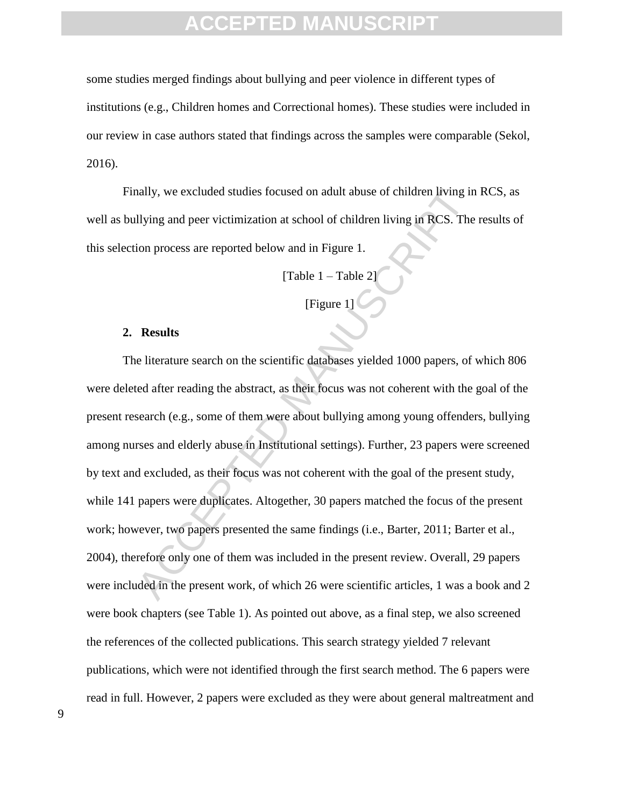some studies merged findings about bullying and peer violence in different types of institutions (e.g., Children homes and Correctional homes). These studies were included in our review in case authors stated that findings across the samples were comparable (Sekol, 2016).

Finally, we excluded studies focused on adult abuse of children living in RCS, as well as bullying and peer victimization at school of children living in RCS. The results of this selection process are reported below and in Figure 1.

[Table 1 – Table 2]

[Figure  $1$ ]

#### **2. Results**

ally, we excluded studies focused on adult abuse of children living in<br>
Ilying and peer victimization at school of children living in RCS. The<br>
ilying and peer victimization at school of children living in RCS. The<br>
ITable The literature search on the scientific databases yielded 1000 papers, of which 806 were deleted after reading the abstract, as their focus was not coherent with the goal of the present research (e.g., some of them were about bullying among young offenders, bullying among nurses and elderly abuse in Institutional settings). Further, 23 papers were screened by text and excluded, as their focus was not coherent with the goal of the present study, while 141 papers were duplicates. Altogether, 30 papers matched the focus of the present work; however, two papers presented the same findings (i.e., Barter, 2011; Barter et al., 2004), therefore only one of them was included in the present review. Overall, 29 papers were included in the present work, of which 26 were scientific articles, 1 was a book and 2 were book chapters (see Table 1). As pointed out above, as a final step, we also screened the references of the collected publications. This search strategy yielded 7 relevant publications, which were not identified through the first search method. The 6 papers were read in full. However, 2 papers were excluded as they were about general maltreatment and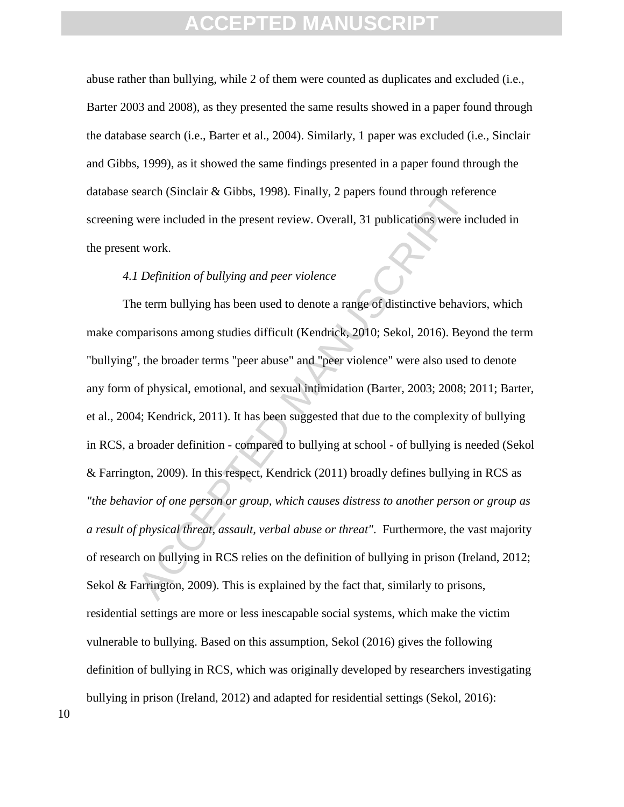abuse rather than bullying, while 2 of them were counted as duplicates and excluded (i.e., Barter 2003 and 2008), as they presented the same results showed in a paper found through the database search (i.e., Barter et al., 2004). Similarly, 1 paper was excluded (i.e., Sinclair and Gibbs, 1999), as it showed the same findings presented in a paper found through the database search (Sinclair & Gibbs, 1998). Finally, 2 papers found through reference screening were included in the present review. Overall, 31 publications were included in the present work.

#### *4.1 Definition of bullying and peer violence*

earch (Sinclair & Gibbs, 1998). Finally, 2 papers found through refer<br>were included in the present review. Overall, 31 publications were int<br>work.<br>Verifician of bullying and peer violence<br>e<br>term bullying has been used to d The term bullying has been used to denote a range of distinctive behaviors, which make comparisons among studies difficult (Kendrick, 2010; Sekol, 2016). Beyond the term "bullying", the broader terms "peer abuse" and "peer violence" were also used to denote any form of physical, emotional, and sexual intimidation (Barter, 2003; 2008; 2011; Barter, et al., 2004; Kendrick, 2011). It has been suggested that due to the complexity of bullying in RCS, a broader definition - compared to bullying at school - of bullying is needed (Sekol & Farrington, 2009). In this respect, Kendrick (2011) broadly defines bullying in RCS as *"the behavior of one person or group, which causes distress to another person or group as a result of physical threat, assault, verbal abuse or threat"*. Furthermore, the vast majority of research on bullying in RCS relies on the definition of bullying in prison (Ireland, 2012; Sekol & Farrington, 2009). This is explained by the fact that, similarly to prisons, residential settings are more or less inescapable social systems, which make the victim vulnerable to bullying. Based on this assumption, Sekol (2016) gives the following definition of bullying in RCS, which was originally developed by researchers investigating bullying in prison (Ireland, 2012) and adapted for residential settings (Sekol, 2016):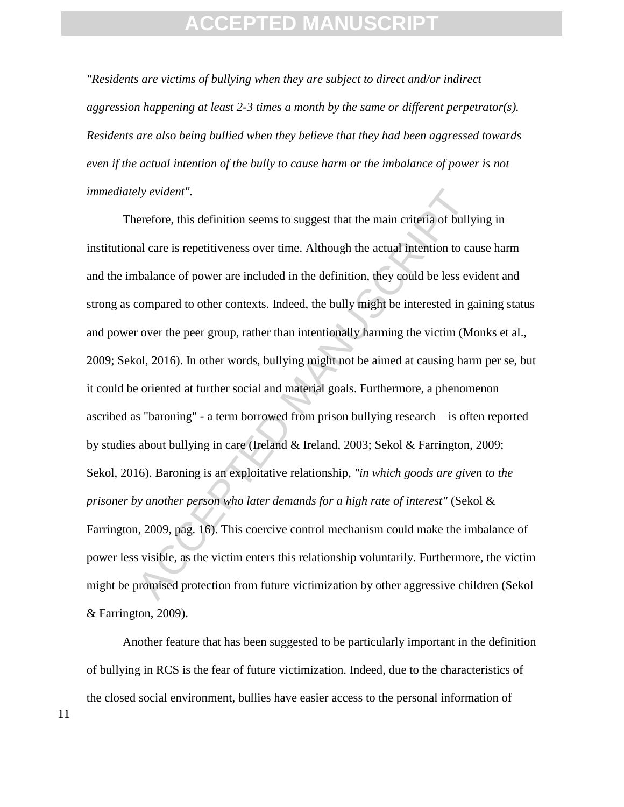*"Residents are victims of bullying when they are subject to direct and/or indirect aggression happening at least 2-3 times a month by the same or different perpetrator(s). Residents are also being bullied when they believe that they had been aggressed towards even if the actual intention of the bully to cause harm or the imbalance of power is not immediately evident".* 

*dy evident"*.<br>
erefore, this definition seems to suggest that the main criteria of bully<br>
al care is repetitiveness over time. Although the actual intention to ca<br>
bbalance of power are included in the definition, they co Therefore, this definition seems to suggest that the main criteria of bullying in institutional care is repetitiveness over time. Although the actual intention to cause harm and the imbalance of power are included in the definition, they could be less evident and strong as compared to other contexts. Indeed, the bully might be interested in gaining status and power over the peer group, rather than intentionally harming the victim (Monks et al., 2009; Sekol, 2016). In other words, bullying might not be aimed at causing harm per se, but it could be oriented at further social and material goals. Furthermore, a phenomenon ascribed as "baroning" - a term borrowed from prison bullying research – is often reported by studies about bullying in care (Ireland & Ireland, 2003; Sekol & Farrington, 2009; Sekol, 2016). Baroning is an exploitative relationship, *"in which goods are given to the prisoner by another person who later demands for a high rate of interest"* (Sekol & Farrington, 2009, pag. 16). This coercive control mechanism could make the imbalance of power less visible, as the victim enters this relationship voluntarily. Furthermore, the victim might be promised protection from future victimization by other aggressive children (Sekol & Farrington, 2009).

Another feature that has been suggested to be particularly important in the definition of bullying in RCS is the fear of future victimization. Indeed, due to the characteristics of the closed social environment, bullies have easier access to the personal information of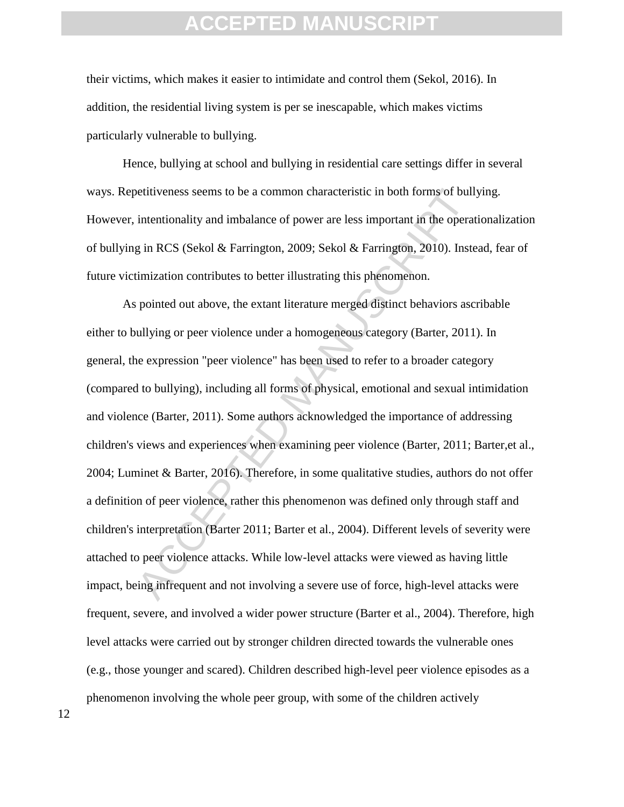their victims, which makes it easier to intimidate and control them (Sekol, 2016). In addition, the residential living system is per se inescapable, which makes victims particularly vulnerable to bullying.

Hence, bullying at school and bullying in residential care settings differ in several ways. Repetitiveness seems to be a common characteristic in both forms of bullying. However, intentionality and imbalance of power are less important in the operationalization of bullying in RCS (Sekol & Farrington, 2009; Sekol & Farrington, 2010). Instead, fear of future victimization contributes to better illustrating this phenomenon.

betitiveness seems to be a common characteristic in both forms of bull<br>intentionality and imbalance of power are less important in the opera<br>g in RCS (Sekol & Farrington, 2009; Sekol & Farrington, 2010). Inste-<br>timization As pointed out above, the extant literature merged distinct behaviors ascribable either to bullying or peer violence under a homogeneous category (Barter, 2011). In general, the expression "peer violence" has been used to refer to a broader category (compared to bullying), including all forms of physical, emotional and sexual intimidation and violence (Barter, 2011). Some authors acknowledged the importance of addressing children's views and experiences when examining peer violence (Barter, 2011; Barter,et al., 2004; Luminet & Barter, 2016). Therefore, in some qualitative studies, authors do not offer a definition of peer violence, rather this phenomenon was defined only through staff and children's interpretation (Barter 2011; Barter et al., 2004). Different levels of severity were attached to peer violence attacks. While low-level attacks were viewed as having little impact, being infrequent and not involving a severe use of force, high-level attacks were frequent, severe, and involved a wider power structure (Barter et al., 2004). Therefore, high level attacks were carried out by stronger children directed towards the vulnerable ones (e.g., those younger and scared). Children described high-level peer violence episodes as a phenomenon involving the whole peer group, with some of the children actively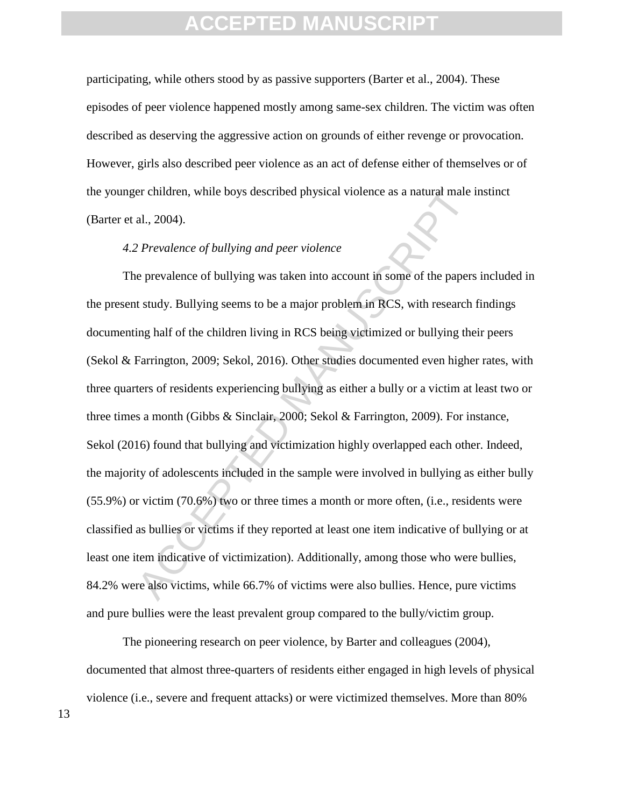participating, while others stood by as passive supporters (Barter et al., 2004). These episodes of peer violence happened mostly among same-sex children. The victim was often described as deserving the aggressive action on grounds of either revenge or provocation. However, girls also described peer violence as an act of defense either of themselves or of the younger children, while boys described physical violence as a natural male instinct (Barter et al., 2004).

#### *4.2 Prevalence of bullying and peer violence*

er children, while boys described physical violence as a natural male al., 2004).<br>
2. Prevalence of bullying and peer violence<br>
e prevalence of bullying was taken into account in some of the papers<br>
1. study. Bullying seem The prevalence of bullying was taken into account in some of the papers included in the present study. Bullying seems to be a major problem in RCS, with research findings documenting half of the children living in RCS being victimized or bullying their peers (Sekol & Farrington, 2009; Sekol, 2016). Other studies documented even higher rates, with three quarters of residents experiencing bullying as either a bully or a victim at least two or three times a month (Gibbs & Sinclair, 2000; Sekol & Farrington, 2009). For instance, Sekol (2016) found that bullying and victimization highly overlapped each other. Indeed, the majority of adolescents included in the sample were involved in bullying as either bully (55.9%) or victim (70.6%) two or three times a month or more often, (i.e., residents were classified as bullies or victims if they reported at least one item indicative of bullying or at least one item indicative of victimization). Additionally, among those who were bullies, 84.2% were also victims, while 66.7% of victims were also bullies. Hence, pure victims and pure bullies were the least prevalent group compared to the bully/victim group.

The pioneering research on peer violence, by Barter and colleagues (2004), documented that almost three-quarters of residents either engaged in high levels of physical violence (i.e., severe and frequent attacks) or were victimized themselves. More than 80%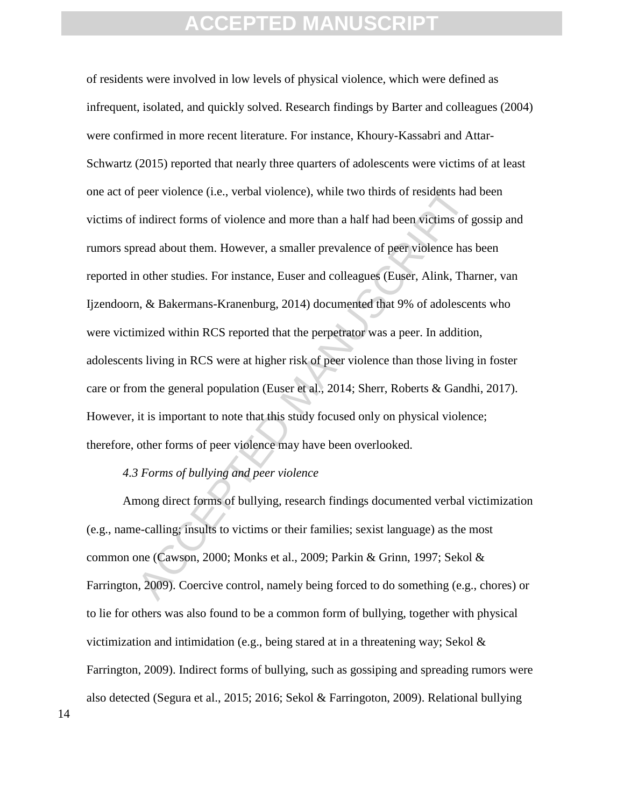peer violence (i.e., verbal violence), while two thirds of residents had<br>indirect forms of violence and more than a half had been victims of g<br>read about them. However, a smaller prevalence of peer violence has<br>n other stu of residents were involved in low levels of physical violence, which were defined as infrequent, isolated, and quickly solved. Research findings by Barter and colleagues (2004) were confirmed in more recent literature. For instance, Khoury-Kassabri and Attar-Schwartz (2015) reported that nearly three quarters of adolescents were victims of at least one act of peer violence (i.e., verbal violence), while two thirds of residents had been victims of indirect forms of violence and more than a half had been victims of gossip and rumors spread about them. However, a smaller prevalence of peer violence has been reported in other studies. For instance, Euser and colleagues (Euser, Alink, Tharner, van Ijzendoorn, & Bakermans-Kranenburg, 2014) documented that 9% of adolescents who were victimized within RCS reported that the perpetrator was a peer. In addition, adolescents living in RCS were at higher risk of peer violence than those living in foster care or from the general population (Euser et al., 2014; Sherr, Roberts & Gandhi, 2017). However, it is important to note that this study focused only on physical violence; therefore, other forms of peer violence may have been overlooked.

#### *4.3 Forms of bullying and peer violence*

Among direct forms of bullying, research findings documented verbal victimization (e.g., name-calling; insults to victims or their families; sexist language) as the most common one (Cawson, 2000; Monks et al., 2009; Parkin & Grinn, 1997; Sekol & Farrington, 2009). Coercive control, namely being forced to do something (e.g., chores) or to lie for others was also found to be a common form of bullying, together with physical victimization and intimidation (e.g., being stared at in a threatening way; Sekol  $\&$ Farrington, 2009). Indirect forms of bullying, such as gossiping and spreading rumors were also detected (Segura et al., 2015; 2016; Sekol & Farringoton, 2009). Relational bullying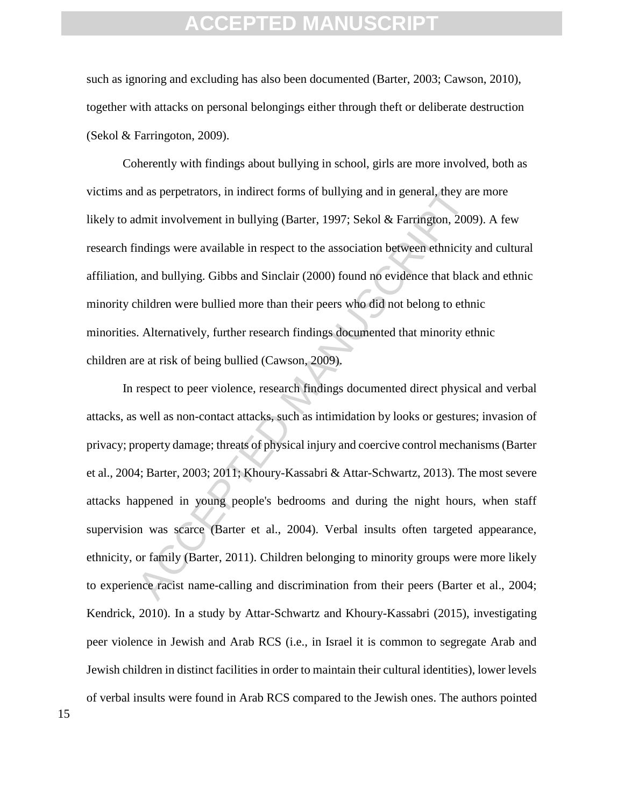such as ignoring and excluding has also been documented (Barter, 2003; Cawson, 2010), together with attacks on personal belongings either through theft or deliberate destruction (Sekol & Farringoton, 2009).

Coherently with findings about bullying in school, girls are more involved, both as victims and as perpetrators, in indirect forms of bullying and in general, they are more likely to admit involvement in bullying (Barter, 1997; Sekol & Farrington, 2009). A few research findings were available in respect to the association between ethnicity and cultural affiliation, and bullying. Gibbs and Sinclair (2000) found no evidence that black and ethnic minority children were bullied more than their peers who did not belong to ethnic minorities. Alternatively, further research findings documented that minority ethnic children are at risk of being bullied (Cawson, 2009).

d as perpetrators, in indirect forms of bullying and in general, they are dmit involvement in bullying (Barter, 1997; Sekol & Farrington, 2009<br>indings were available in respect to the association between ethnicity<br>and bull In respect to peer violence, research findings documented direct physical and verbal attacks, as well as non-contact attacks, such as intimidation by looks or gestures; invasion of privacy; property damage; threats of physical injury and coercive control mechanisms (Barter et al., 2004; Barter, 2003; 2011; Khoury-Kassabri & Attar-Schwartz, 2013). The most severe attacks happened in young people's bedrooms and during the night hours, when staff supervision was scarce (Barter et al., 2004). Verbal insults often targeted appearance, ethnicity, or family (Barter, 2011). Children belonging to minority groups were more likely to experience racist name-calling and discrimination from their peers (Barter et al., 2004; Kendrick, 2010). In a study by Attar-Schwartz and Khoury-Kassabri (2015), investigating peer violence in Jewish and Arab RCS (i.e., in Israel it is common to segregate Arab and Jewish children in distinct facilities in order to maintain their cultural identities), lower levels of verbal insults were found in Arab RCS compared to the Jewish ones. The authors pointed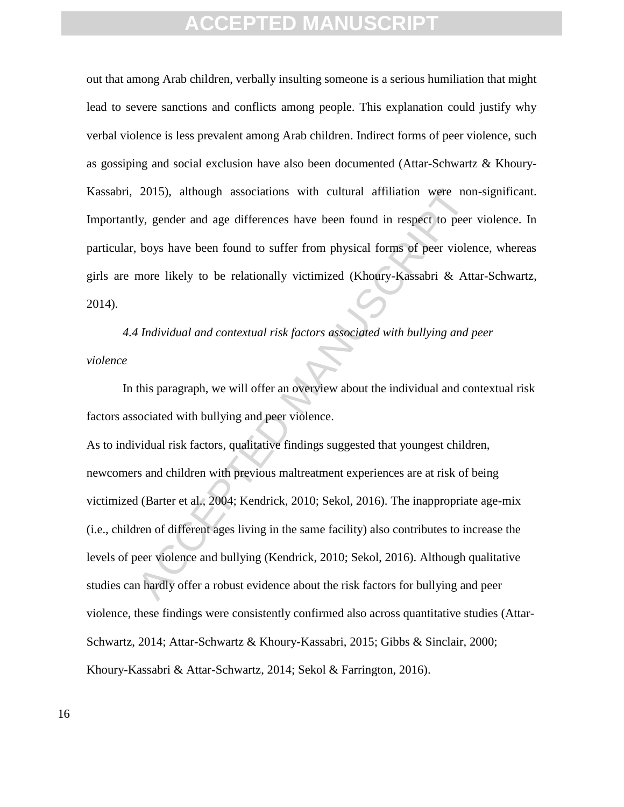out that among Arab children, verbally insulting someone is a serious humiliation that might lead to severe sanctions and conflicts among people. This explanation could justify why verbal violence is less prevalent among Arab children. Indirect forms of peer violence, such as gossiping and social exclusion have also been documented (Attar-Schwartz & Khoury-Kassabri, 2015), although associations with cultural affiliation were non-significant. Importantly, gender and age differences have been found in respect to peer violence. In particular, boys have been found to suffer from physical forms of peer violence, whereas girls are more likely to be relationally victimized (Khoury-Kassabri & Attar-Schwartz, 2014).

*4.4 Individual and contextual risk factors associated with bullying and peer violence* 

In this paragraph, we will offer an overview about the individual and contextual risk factors associated with bullying and peer violence.

2015), although associations with cultural affiliation were nor<br>ly, gender and age differences have been found in respect to peer<br>boys have been found to suffer from physical forms of peer violer<br>more likely to be relation As to individual risk factors, qualitative findings suggested that youngest children, newcomers and children with previous maltreatment experiences are at risk of being victimized (Barter et al., 2004; Kendrick, 2010; Sekol, 2016). The inappropriate age-mix (i.e., children of different ages living in the same facility) also contributes to increase the levels of peer violence and bullying (Kendrick, 2010; Sekol, 2016). Although qualitative studies can hardly offer a robust evidence about the risk factors for bullying and peer violence, these findings were consistently confirmed also across quantitative studies (Attar-Schwartz, 2014; Attar-Schwartz & Khoury-Kassabri, 2015; Gibbs & Sinclair, 2000; Khoury-Kassabri & Attar-Schwartz, 2014; Sekol & Farrington, 2016).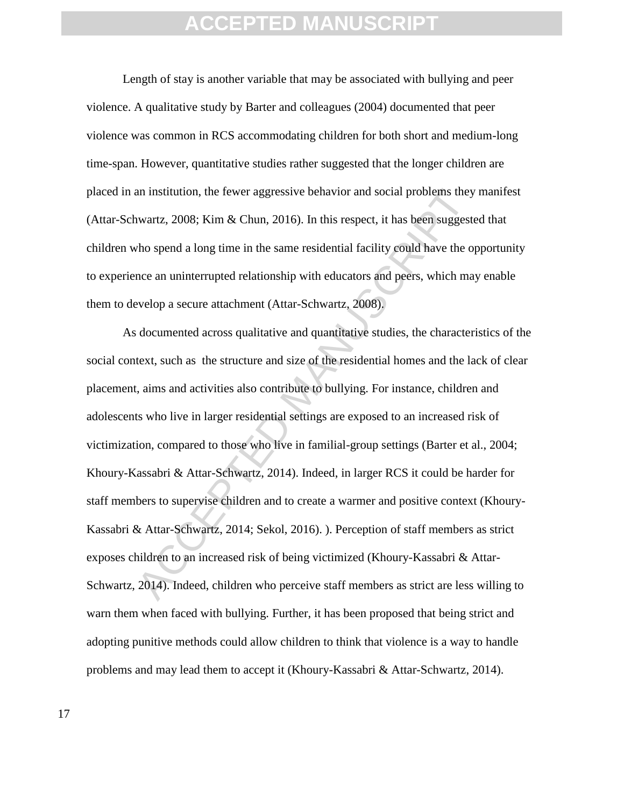Length of stay is another variable that may be associated with bullying and peer violence. A qualitative study by Barter and colleagues (2004) documented that peer violence was common in RCS accommodating children for both short and medium-long time-span. However, quantitative studies rather suggested that the longer children are placed in an institution, the fewer aggressive behavior and social problems they manifest (Attar-Schwartz, 2008; Kim & Chun, 2016). In this respect, it has been suggested that children who spend a long time in the same residential facility could have the opportunity to experience an uninterrupted relationship with educators and peers, which may enable them to develop a secure attachment (Attar-Schwartz, 2008).

an institution, the fewer aggressive behavior and social problems they wartz, 2008; Kim & Chun, 2016). In this respect, it has been suggest tho spend a long time in the same residential facility could have the o noce an u As documented across qualitative and quantitative studies, the characteristics of the social context, such as the structure and size of the residential homes and the lack of clear placement, aims and activities also contribute to bullying. For instance, children and adolescents who live in larger residential settings are exposed to an increased risk of victimization, compared to those who live in familial-group settings (Barter et al., 2004; Khoury-Kassabri & Attar-Schwartz, 2014). Indeed, in larger RCS it could be harder for staff members to supervise children and to create a warmer and positive context (Khoury-Kassabri & Attar-Schwartz, 2014; Sekol, 2016). ). Perception of staff members as strict exposes children to an increased risk of being victimized (Khoury-Kassabri & Attar-Schwartz, 2014). Indeed, children who perceive staff members as strict are less willing to warn them when faced with bullying. Further, it has been proposed that being strict and adopting punitive methods could allow children to think that violence is a way to handle problems and may lead them to accept it (Khoury-Kassabri & Attar-Schwartz, 2014).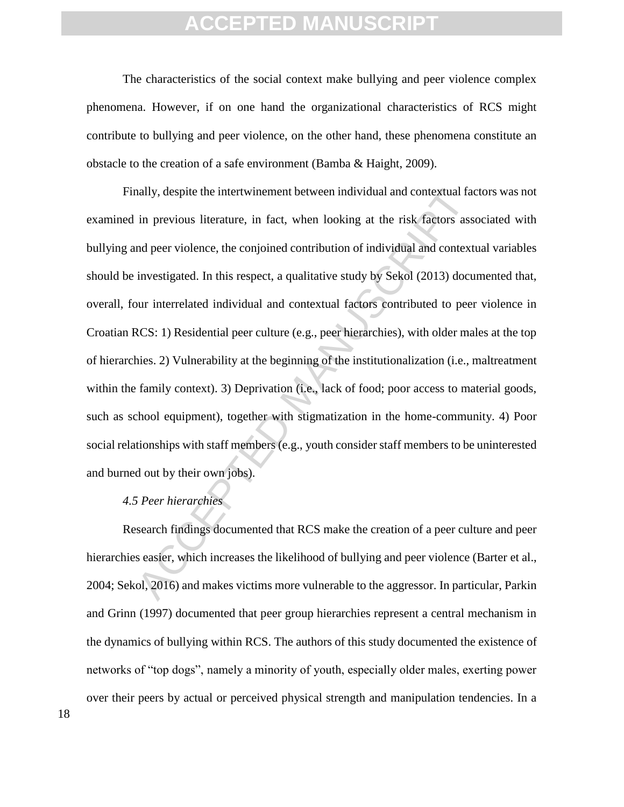The characteristics of the social context make bullying and peer violence complex phenomena. However, if on one hand the organizational characteristics of RCS might contribute to bullying and peer violence, on the other hand, these phenomena constitute an obstacle to the creation of a safe environment (Bamba & Haight, 2009).

ally, despite the intertwinement between individual and contextual fact<br>in previous literature, in fact, when looking at the risk factors ass<br>md peer violence, the conjoined contribution of individual and context<br>investiga Finally, despite the intertwinement between individual and contextual factors was not examined in previous literature, in fact, when looking at the risk factors associated with bullying and peer violence, the conjoined contribution of individual and contextual variables should be investigated. In this respect, a qualitative study by Sekol (2013) documented that, overall, four interrelated individual and contextual factors contributed to peer violence in Croatian RCS: 1) Residential peer culture (e.g., peer hierarchies), with older males at the top of hierarchies. 2) Vulnerability at the beginning of the institutionalization (i.e., maltreatment within the family context). 3) Deprivation (i.e., lack of food; poor access to material goods, such as school equipment), together with stigmatization in the home-community. 4) Poor social relationships with staff members (e.g., youth consider staff members to be uninterested and burned out by their own jobs).

#### *4.5 Peer hierarchies*

Research findings documented that RCS make the creation of a peer culture and peer hierarchies easier, which increases the likelihood of bullying and peer violence (Barter et al., 2004; Sekol, 2016) and makes victims more vulnerable to the aggressor. In particular, Parkin and Grinn (1997) documented that peer group hierarchies represent a central mechanism in the dynamics of bullying within RCS. The authors of this study documented the existence of networks of "top dogs", namely a minority of youth, especially older males, exerting power over their peers by actual or perceived physical strength and manipulation tendencies. In a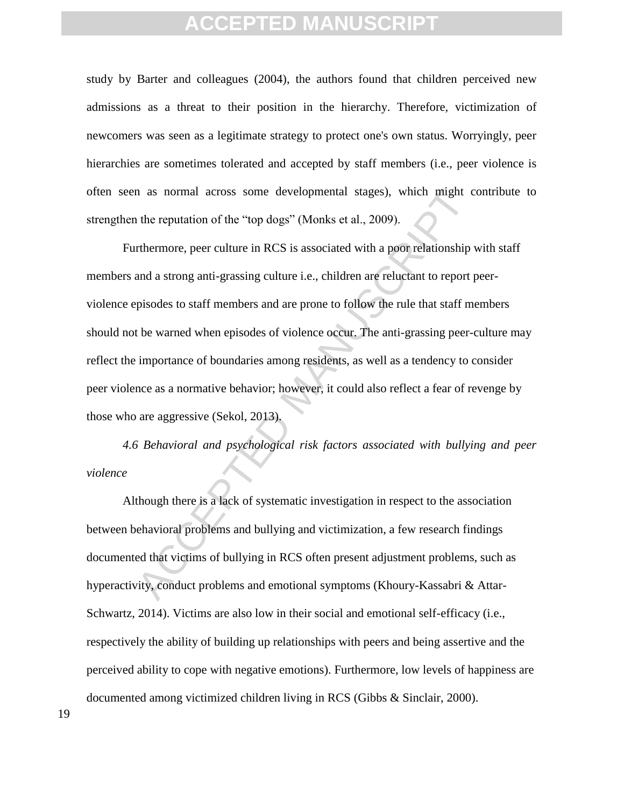study by Barter and colleagues (2004), the authors found that children perceived new admissions as a threat to their position in the hierarchy. Therefore, victimization of newcomers was seen as a legitimate strategy to protect one's own status. Worryingly, peer hierarchies are sometimes tolerated and accepted by staff members (i.e., peer violence is often seen as normal across some developmental stages), which might contribute to strengthen the reputation of the "top dogs" (Monks et al., 2009).

The reputation of the "top dogs" (Monks et al., 2009).<br>
Thermore, peer culture in RCS is associated with a poor relationship<br>
rthermore, peer culture in RCS is associated with a poor relationship<br>
and a strong anti-grassin Furthermore, peer culture in RCS is associated with a poor relationship with staff members and a strong anti-grassing culture i.e., children are reluctant to report peerviolence episodes to staff members and are prone to follow the rule that staff members should not be warned when episodes of violence occur. The anti-grassing peer-culture may reflect the importance of boundaries among residents, as well as a tendency to consider peer violence as a normative behavior; however, it could also reflect a fear of revenge by those who are aggressive (Sekol, 2013).

*4.6 Behavioral and psychological risk factors associated with bullying and peer violence* 

Although there is a lack of systematic investigation in respect to the association between behavioral problems and bullying and victimization, a few research findings documented that victims of bullying in RCS often present adjustment problems, such as hyperactivity, conduct problems and emotional symptoms (Khoury-Kassabri & Attar-Schwartz, 2014). Victims are also low in their social and emotional self-efficacy (i.e., respectively the ability of building up relationships with peers and being assertive and the perceived ability to cope with negative emotions). Furthermore, low levels of happiness are documented among victimized children living in RCS (Gibbs & Sinclair, 2000).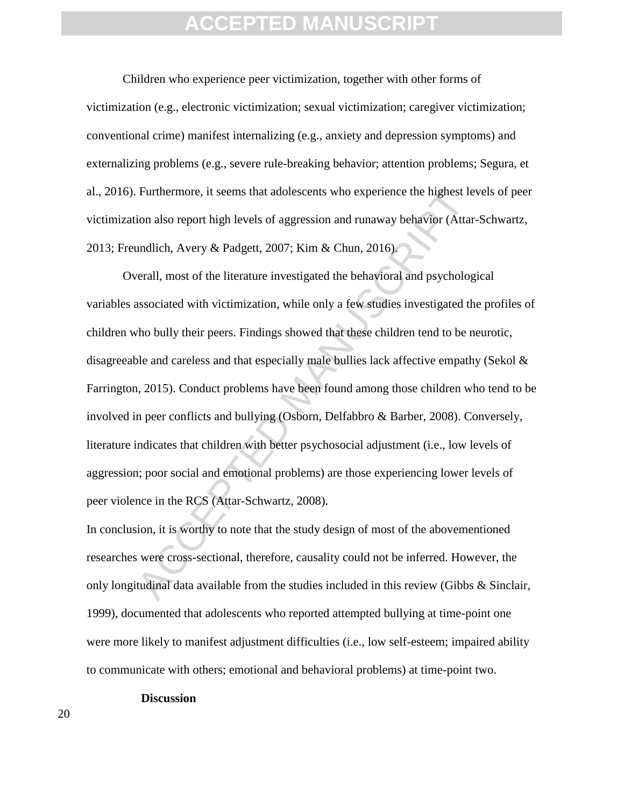Children who experience peer victimization, together with other forms of victimization (e.g., electronic victimization; sexual victimization; caregiver victimization; conventional crime) manifest internalizing (e.g., anxiety and depression symptoms) and externalizing problems (e.g., severe rule-breaking behavior; attention problems; Segura, et al., 2016). Furthermore, it seems that adolescents who experience the highest levels of peer victimization also report high levels of aggression and runaway behavior (Attar-Schwartz, 2013; Freundlich, Avery & Padgett, 2007; Kim & Chun, 2016).

Furthermore, it seems that adolescents who experience the highest le<br>ion also report high levels of aggression and runaway behavior (Attar<br>undlich, Avery & Padgett, 2007; Kim & Chun, 2016).<br>Verall, most of the literature i Overall, most of the literature investigated the behavioral and psychological variables associated with victimization, while only a few studies investigated the profiles of children who bully their peers. Findings showed that these children tend to be neurotic, disagreeable and careless and that especially male bullies lack affective empathy (Sekol & Farrington, 2015). Conduct problems have been found among those children who tend to be involved in peer conflicts and bullying (Osborn, Delfabbro & Barber, 2008). Conversely, literature indicates that children with better psychosocial adjustment (i.e., low levels of aggression; poor social and emotional problems) are those experiencing lower levels of peer violence in the RCS (Attar-Schwartz, 2008).

In conclusion, it is worthy to note that the study design of most of the abovementioned researches were cross-sectional, therefore, causality could not be inferred. However, the only longitudinal data available from the studies included in this review (Gibbs & Sinclair, 1999), documented that adolescents who reported attempted bullying at time-point one were more likely to manifest adjustment difficulties (i.e., low self-esteem; impaired ability to communicate with others; emotional and behavioral problems) at time-point two.

#### **Discussion**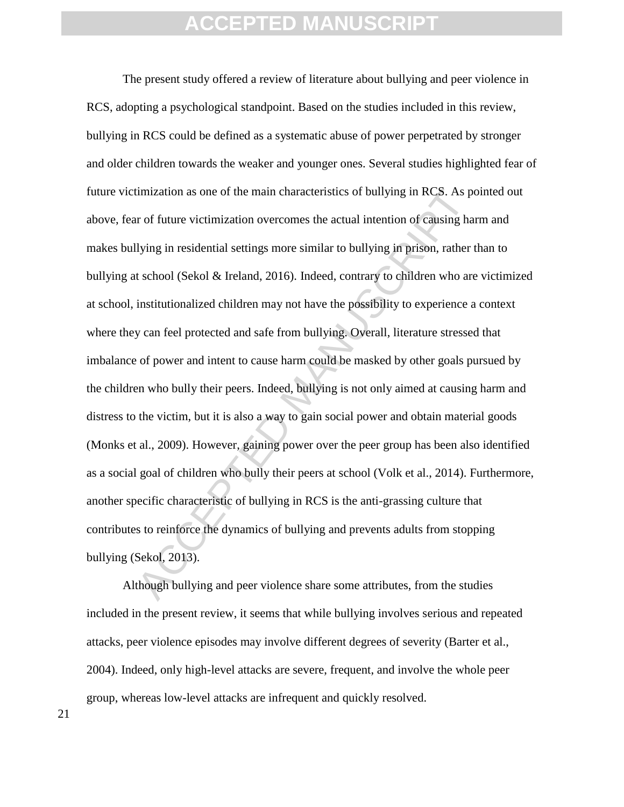imization as one of the main characteristics of bullying in RCS. As port of future victimization overcomes the actual intention of causing ha<br>lying in residential settings more similar to bullying in prison, rather t<br>schoo The present study offered a review of literature about bullying and peer violence in RCS, adopting a psychological standpoint. Based on the studies included in this review, bullying in RCS could be defined as a systematic abuse of power perpetrated by stronger and older children towards the weaker and younger ones. Several studies highlighted fear of future victimization as one of the main characteristics of bullying in RCS. As pointed out above, fear of future victimization overcomes the actual intention of causing harm and makes bullying in residential settings more similar to bullying in prison, rather than to bullying at school (Sekol & Ireland, 2016). Indeed, contrary to children who are victimized at school, institutionalized children may not have the possibility to experience a context where they can feel protected and safe from bullying. Overall, literature stressed that imbalance of power and intent to cause harm could be masked by other goals pursued by the children who bully their peers. Indeed, bullying is not only aimed at causing harm and distress to the victim, but it is also a way to gain social power and obtain material goods (Monks et al., 2009). However, gaining power over the peer group has been also identified as a social goal of children who bully their peers at school (Volk et al., 2014). Furthermore, another specific characteristic of bullying in RCS is the anti-grassing culture that contributes to reinforce the dynamics of bullying and prevents adults from stopping bullying (Sekol, 2013).

Although bullying and peer violence share some attributes, from the studies included in the present review, it seems that while bullying involves serious and repeated attacks, peer violence episodes may involve different degrees of severity (Barter et al., 2004). Indeed, only high-level attacks are severe, frequent, and involve the whole peer group, whereas low-level attacks are infrequent and quickly resolved.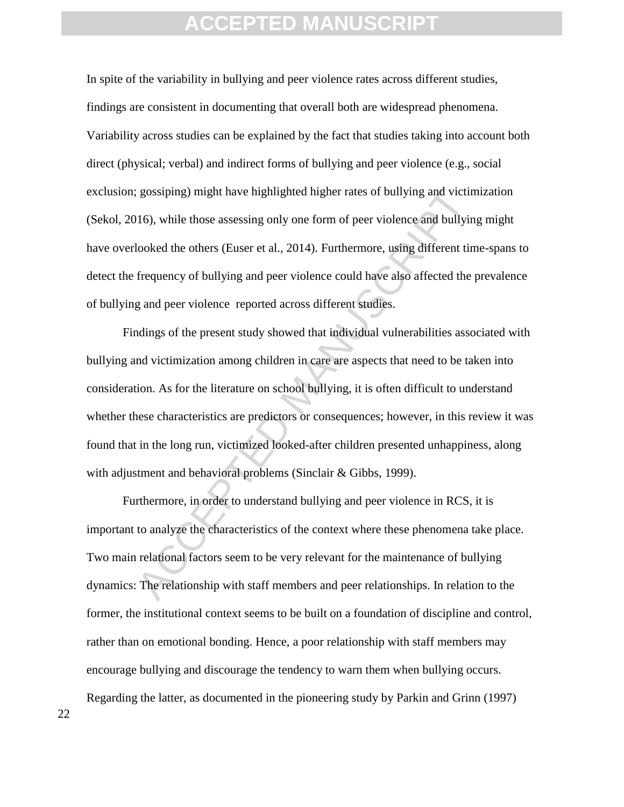In spite of the variability in bullying and peer violence rates across different studies, findings are consistent in documenting that overall both are widespread phenomena. Variability across studies can be explained by the fact that studies taking into account both direct (physical; verbal) and indirect forms of bullying and peer violence (e.g., social exclusion; gossiping) might have highlighted higher rates of bullying and victimization (Sekol, 2016), while those assessing only one form of peer violence and bullying might have overlooked the others (Euser et al., 2014). Furthermore, using different time-spans to detect the frequency of bullying and peer violence could have also affected the prevalence of bullying and peer violence reported across different studies.

gossiping) might have highlighted higher rates of bullying and victin<br>116), while those assessing only one form of peer violence and bullyin<br>looked the others (Euser et al., 2014). Furthermore, using different tin<br>frequenc Findings of the present study showed that individual vulnerabilities associated with bullying and victimization among children in care are aspects that need to be taken into consideration. As for the literature on school bullying, it is often difficult to understand whether these characteristics are predictors or consequences; however, in this review it was found that in the long run, victimized looked-after children presented unhappiness, along with adjustment and behavioral problems (Sinclair & Gibbs, 1999).

Furthermore, in order to understand bullying and peer violence in RCS, it is important to analyze the characteristics of the context where these phenomena take place. Two main relational factors seem to be very relevant for the maintenance of bullying dynamics: The relationship with staff members and peer relationships. In relation to the former, the institutional context seems to be built on a foundation of discipline and control, rather than on emotional bonding. Hence, a poor relationship with staff members may encourage bullying and discourage the tendency to warn them when bullying occurs. Regarding the latter, as documented in the pioneering study by Parkin and Grinn (1997)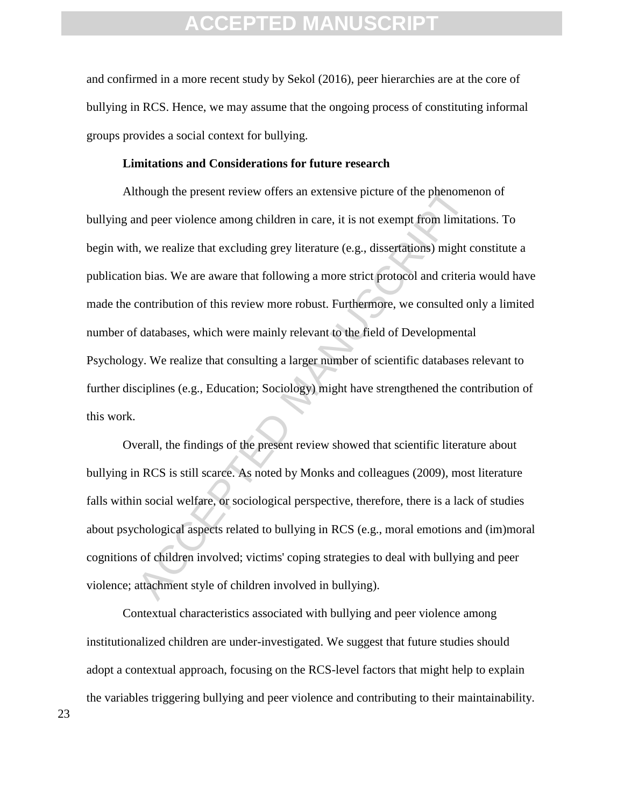and confirmed in a more recent study by Sekol (2016), peer hierarchies are at the core of bullying in RCS. Hence, we may assume that the ongoing process of constituting informal groups provides a social context for bullying.

#### **Limitations and Considerations for future research**

though the present review offers an extensive picture of the phenoment<br>and peer violence among children in care, it is not exempt from limitat<br>a, we realize that excluding grey literature (e.g., dissertations) might c<br>n bi Although the present review offers an extensive picture of the phenomenon of bullying and peer violence among children in care, it is not exempt from limitations. To begin with, we realize that excluding grey literature (e.g., dissertations) might constitute a publication bias. We are aware that following a more strict protocol and criteria would have made the contribution of this review more robust. Furthermore, we consulted only a limited number of databases, which were mainly relevant to the field of Developmental Psychology. We realize that consulting a larger number of scientific databases relevant to further disciplines (e.g., Education; Sociology) might have strengthened the contribution of this work.

Overall, the findings of the present review showed that scientific literature about bullying in RCS is still scarce. As noted by Monks and colleagues (2009), most literature falls within social welfare, or sociological perspective, therefore, there is a lack of studies about psychological aspects related to bullying in RCS (e.g., moral emotions and (im)moral cognitions of children involved; victims' coping strategies to deal with bullying and peer violence; attachment style of children involved in bullying).

Contextual characteristics associated with bullying and peer violence among institutionalized children are under-investigated. We suggest that future studies should adopt a contextual approach, focusing on the RCS-level factors that might help to explain the variables triggering bullying and peer violence and contributing to their maintainability.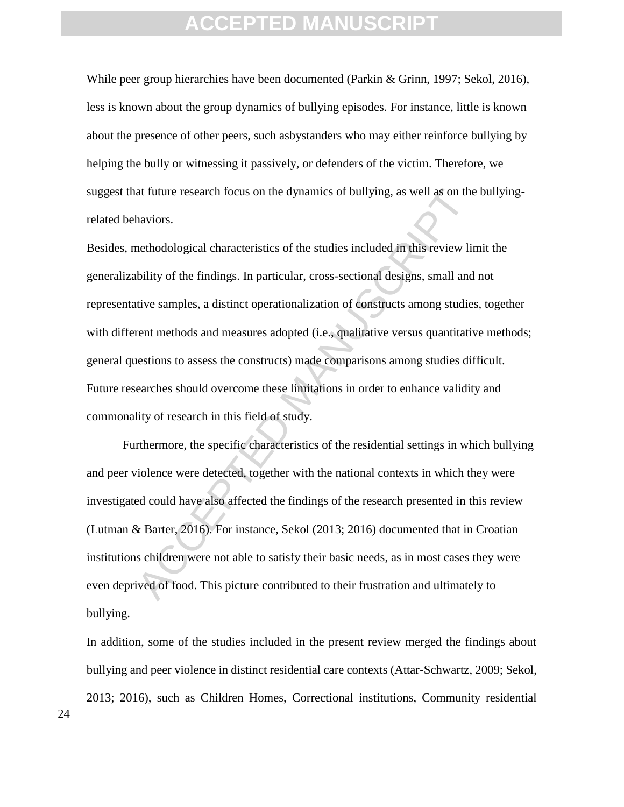While peer group hierarchies have been documented (Parkin & Grinn, 1997; Sekol, 2016), less is known about the group dynamics of bullying episodes. For instance, little is known about the presence of other peers, such asbystanders who may either reinforce bullying by helping the bully or witnessing it passively, or defenders of the victim. Therefore, we suggest that future research focus on the dynamics of bullying, as well as on the bullyingrelated behaviors.

at future research focus on the dynamics of bullying, as well as on the<br>haviors.<br>the avoid set of the studies included in this review line<br>history.<br>In this pological characteristics of the studies included in this review l Besides, methodological characteristics of the studies included in this review limit the generalizability of the findings. In particular, cross-sectional designs, small and not representative samples, a distinct operationalization of constructs among studies, together with different methods and measures adopted (i.e., qualitative versus quantitative methods; general questions to assess the constructs) made comparisons among studies difficult. Future researches should overcome these limitations in order to enhance validity and commonality of research in this field of study.

Furthermore, the specific characteristics of the residential settings in which bullying and peer violence were detected, together with the national contexts in which they were investigated could have also affected the findings of the research presented in this review (Lutman & Barter, 2016). For instance, Sekol (2013; 2016) documented that in Croatian institutions children were not able to satisfy their basic needs, as in most cases they were even deprived of food. This picture contributed to their frustration and ultimately to bullying.

In addition, some of the studies included in the present review merged the findings about bullying and peer violence in distinct residential care contexts (Attar-Schwartz, 2009; Sekol, 2013; 2016), such as Children Homes, Correctional institutions, Community residential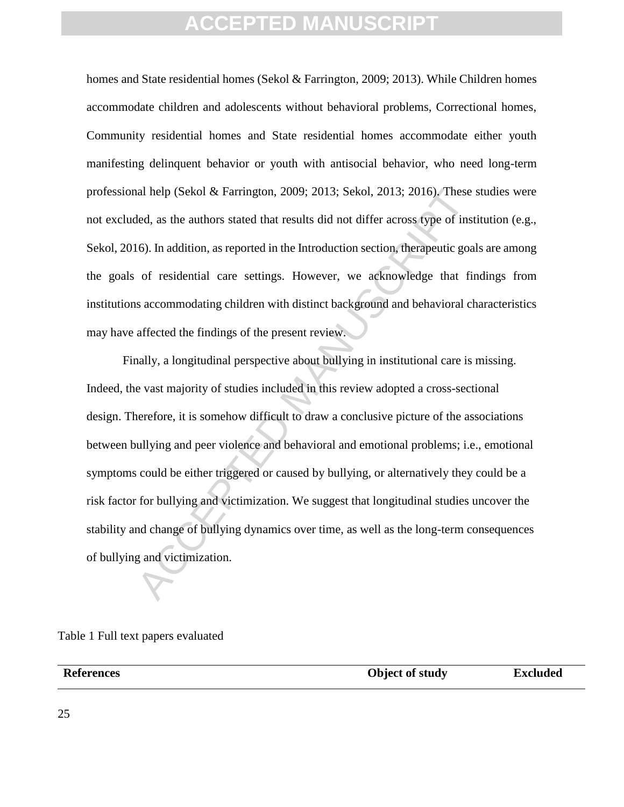homes and State residential homes (Sekol & Farrington, 2009; 2013). While Children homes accommodate children and adolescents without behavioral problems, Correctional homes, Community residential homes and State residential homes accommodate either youth manifesting delinquent behavior or youth with antisocial behavior, who need long-term professional help (Sekol & Farrington, 2009; 2013; Sekol, 2013; 2016). These studies were not excluded, as the authors stated that results did not differ across type of institution (e.g., Sekol, 2016). In addition, as reported in the Introduction section, therapeutic goals are among the goals of residential care settings. However, we acknowledge that findings from institutions accommodating children with distinct background and behavioral characteristics may have affected the findings of the present review.

al help (Sekol & Farrington, 2009; 2013; Sekol, 2013; 2016). These<br>led, as the authors stated that results did not differ across type of inst<br>6). In addition, as reported in the Introduction section, therapeutic goa<br>of res Finally, a longitudinal perspective about bullying in institutional care is missing. Indeed, the vast majority of studies included in this review adopted a cross-sectional design. Therefore, it is somehow difficult to draw a conclusive picture of the associations between bullying and peer violence and behavioral and emotional problems; i.e., emotional symptoms could be either triggered or caused by bullying, or alternatively they could be a risk factor for bullying and victimization. We suggest that longitudinal studies uncover the stability and change of bullying dynamics over time, as well as the long-term consequences of bullying and victimization.

Table 1 Full text papers evaluated

**References Object of study Excluded**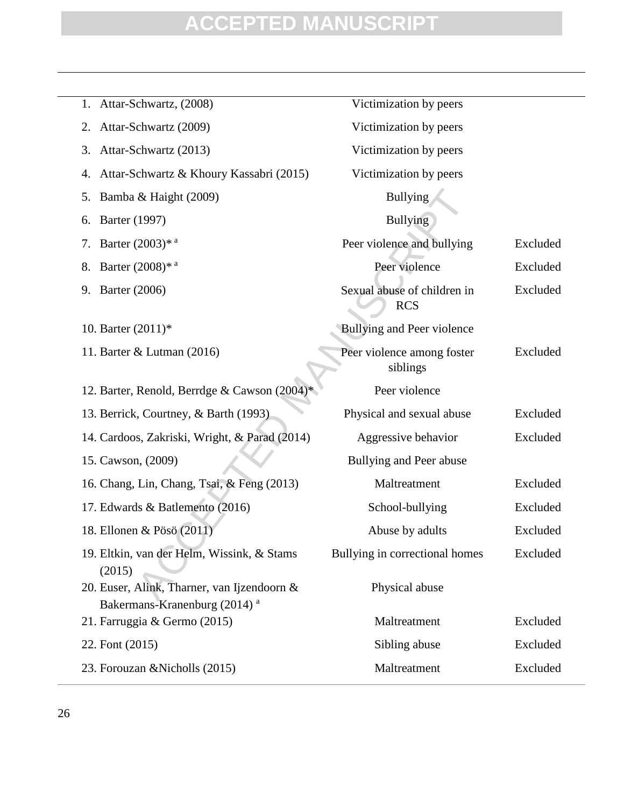|                            | 1. Attar-Schwartz, (2008)                                                               | Victimization by peers                    |          |
|----------------------------|-----------------------------------------------------------------------------------------|-------------------------------------------|----------|
| 2.                         | Attar-Schwartz (2009)                                                                   | Victimization by peers                    |          |
| 3.                         | Attar-Schwartz (2013)                                                                   | Victimization by peers                    |          |
| 4.                         | Attar-Schwartz & Khoury Kassabri (2015)                                                 | Victimization by peers                    |          |
| 5.                         | Bamba & Haight (2009)                                                                   | <b>Bullying</b>                           |          |
| Barter (1997)<br>6.        |                                                                                         | <b>Bullying</b>                           |          |
| 7.                         | Barter $(2003)^{*}$ <sup>a</sup>                                                        | Peer violence and bullying                | Excluded |
| 8.                         | Barter $(2008)^*$ <sup>a</sup>                                                          | Peer violence                             | Excluded |
| <b>Barter</b> (2006)<br>9. |                                                                                         | Sexual abuse of children in<br><b>RCS</b> | Excluded |
| 10. Barter (2011)*         |                                                                                         | Bullying and Peer violence                |          |
|                            | 11. Barter & Lutman (2016)                                                              | Peer violence among foster<br>siblings    | Excluded |
|                            | 12. Barter, Renold, Berrdge & Cawson (2004)                                             | Peer violence                             |          |
|                            | 13. Berrick, Courtney, & Barth (1993)                                                   | Physical and sexual abuse                 | Excluded |
|                            | 14. Cardoos, Zakriski, Wright, & Parad (2014)                                           | Aggressive behavior                       | Excluded |
| 15. Cawson, (2009)         |                                                                                         | Bullying and Peer abuse                   |          |
|                            | 16. Chang, Lin, Chang, Tsai, & Feng (2013)                                              | Maltreatment                              | Excluded |
|                            | 17. Edwards & Batlemento (2016)                                                         | School-bullying                           | Excluded |
|                            | 18. Ellonen & Pösö (2011)                                                               | Abuse by adults                           | Excluded |
| (2015)                     | 19. Eltkin, van der Helm, Wissink, & Stams                                              | Bullying in correctional homes            | Excluded |
|                            | 20. Euser, Alink, Tharner, van Ijzendoorn &<br>Bakermans-Kranenburg (2014) <sup>a</sup> | Physical abuse                            |          |
|                            | 21. Farruggia & Germo (2015)                                                            | Maltreatment                              | Excluded |
| 22. Font (2015)            |                                                                                         | Sibling abuse                             | Excluded |
|                            | 23. Forouzan & Nicholls (2015)                                                          | Maltreatment                              | Excluded |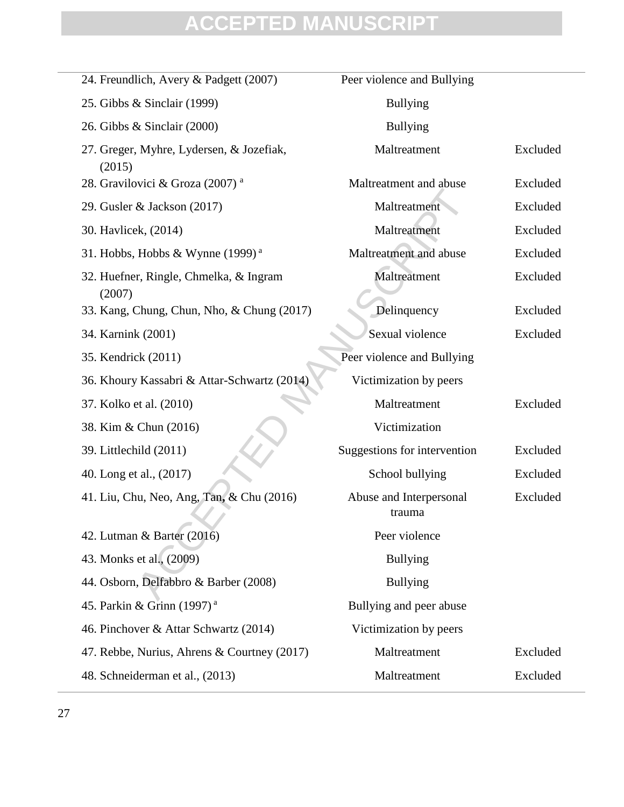| 24. Freundlich, Avery & Padgett (2007)               | Peer violence and Bullying        |          |
|------------------------------------------------------|-----------------------------------|----------|
| 25. Gibbs & Sinclair (1999)                          | <b>Bullying</b>                   |          |
| 26. Gibbs & Sinclair (2000)                          | <b>Bullying</b>                   |          |
| 27. Greger, Myhre, Lydersen, & Jozefiak,<br>(2015)   | Maltreatment                      | Excluded |
| 28. Gravilovici & Groza (2007) <sup>a</sup>          | Maltreatment and abuse            | Excluded |
| 29. Gusler & Jackson (2017)                          | Maltreatment                      | Excluded |
| 30. Havlicek, (2014)                                 | Maltreatment                      | Excluded |
| 31. Hobbs, Hobbs & Wynne $(1999)^{a}$                | Maltreatment and abuse            | Excluded |
| 32. Huefner, Ringle, Chmelka, & Ingram               | Maltreatment                      | Excluded |
| (2007)<br>33. Kang, Chung, Chun, Nho, & Chung (2017) | Delinquency                       | Excluded |
| 34. Karnink (2001)                                   | Sexual violence                   | Excluded |
| 35. Kendrick (2011)                                  | Peer violence and Bullying        |          |
| 36. Khoury Kassabri & Attar-Schwartz (2014)          | Victimization by peers            |          |
| 37. Kolko et al. (2010)                              | Maltreatment                      | Excluded |
| 38. Kim & Chun (2016)                                | Victimization                     |          |
| 39. Littlechild (2011)                               | Suggestions for intervention      | Excluded |
| 40. Long et al., (2017)                              | School bullying                   | Excluded |
| 41. Liu, Chu, Neo, Ang, Tan, & Chu (2016)            | Abuse and Interpersonal<br>trauma | Excluded |
| 42. Lutman $\&$ Barter (2016)                        | Peer violence                     |          |
| 43. Monks et al., (2009)                             | <b>Bullying</b>                   |          |
| 44. Osborn, Delfabbro & Barber (2008)                | <b>Bullying</b>                   |          |
| 45. Parkin & Grinn (1997) <sup>a</sup>               | Bullying and peer abuse           |          |
| 46. Pinchover & Attar Schwartz (2014)                | Victimization by peers            |          |
| 47. Rebbe, Nurius, Ahrens & Courtney (2017)          | Maltreatment                      | Excluded |
| 48. Schneiderman et al., (2013)                      | Maltreatment                      | Excluded |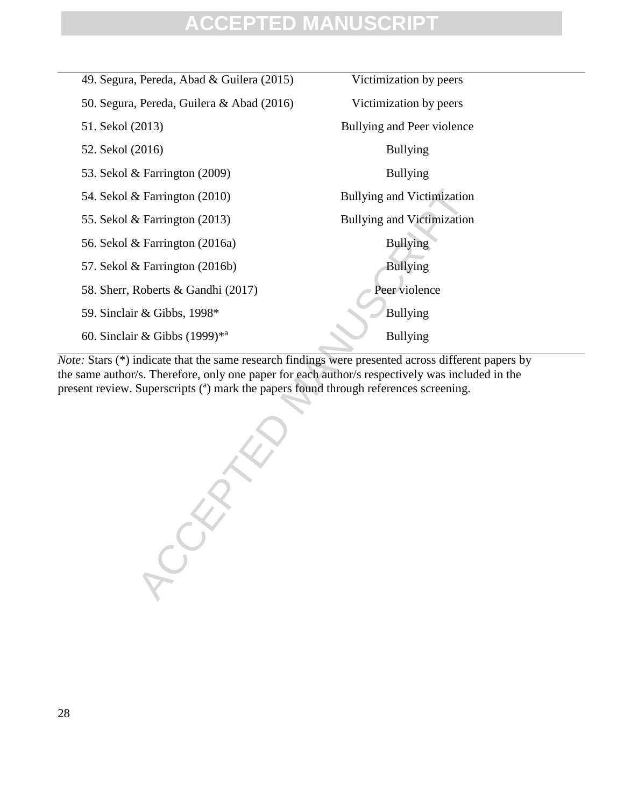| 49. Segura, Pereda, Abad & Guilera (2015) | Victimization by peers            |  |
|-------------------------------------------|-----------------------------------|--|
| 50. Segura, Pereda, Guilera & Abad (2016) | Victimization by peers            |  |
| 51. Sekol (2013)                          | Bullying and Peer violence        |  |
| 52. Sekol (2016)                          | <b>Bullying</b>                   |  |
| 53. Sekol $& \text{Farrington} (2009)$    | <b>Bullying</b>                   |  |
| 54. Sekol $&$ Farrington (2010)           | <b>Bullying and Victimization</b> |  |
| 55. Sekol & Farrington $(2013)$           | <b>Bullying and Victimization</b> |  |
| 56. Sekol & Farrington (2016a)            | <b>Bullying</b>                   |  |
| 57. Sekol & Farrington $(2016b)$          | <b>Bullying</b>                   |  |
| 58. Sherr, Roberts & Gandhi (2017)        | Peer violence                     |  |
| 59. Sinclair & Gibbs, 1998*               | Bullying                          |  |
| 60. Sinclair & Gibbs $(1999)^{*a}$        | <b>Bullying</b>                   |  |
|                                           |                                   |  |

*Note:* Stars (\*) indicate that the same research findings were presented across different papers by the same author/s. Therefore, only one paper for each author/s respectively was included in the present review. Superscripts (<sup>a</sup>) mark the papers found through references screening.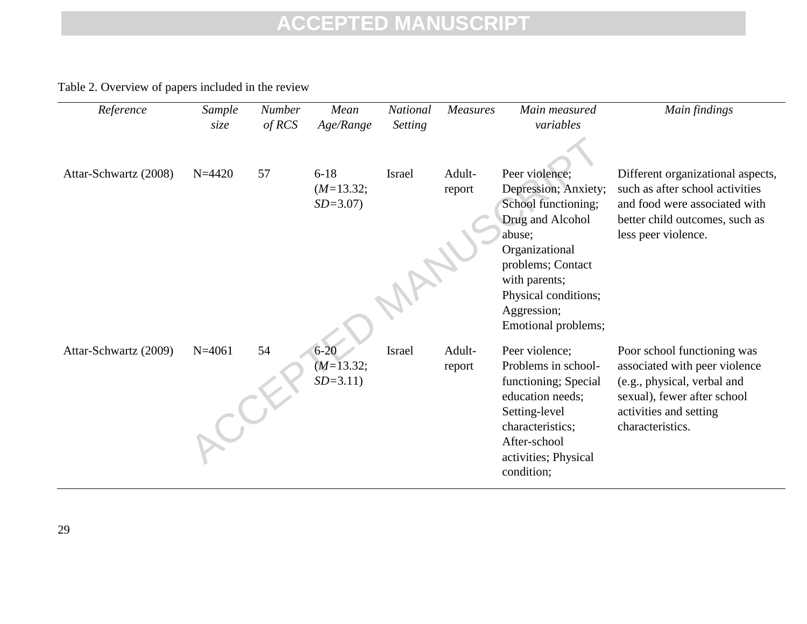Table 2. Overview of papers included in the review

| Reference             | Sample<br>size | <b>Number</b><br>of RCS | Mean<br>Age/Range                      | <b>National</b><br><b>Setting</b> | <b>Measures</b>  | Main measured<br>variables                                                                                                                                                  | Main findings                                                                                                                                                  |
|-----------------------|----------------|-------------------------|----------------------------------------|-----------------------------------|------------------|-----------------------------------------------------------------------------------------------------------------------------------------------------------------------------|----------------------------------------------------------------------------------------------------------------------------------------------------------------|
| Attar-Schwartz (2008) | $N = 4420$     | 57                      | $6 - 18$<br>$(M=13.32;$<br>$SD = 3.07$ | <b>Israel</b>                     | Adult-<br>report | Peer violence;<br>Depression; Anxiety;<br>School functioning;<br>Drug and Alcohol<br>abuse;<br>Organizational<br>problems; Contact<br>with parents;<br>Physical conditions; | Different organizational aspects,<br>such as after school activities<br>and food were associated with<br>better child outcomes, such as<br>less peer violence. |
| Attar-Schwartz (2009) | $N = 4061$     | 54                      | $6 - 20$                               | Israel                            | Adult-           | Aggression;<br>Emotional problems;<br>Peer violence:                                                                                                                        | Poor school functioning was                                                                                                                                    |
|                       |                |                         | $(M=13.32;$<br>$SD = 3.11$             |                                   | report           | Problems in school-<br>functioning; Special<br>education needs;<br>Setting-level<br>characteristics;<br>After-school<br>activities; Physical<br>condition;                  | associated with peer violence<br>(e.g., physical, verbal and<br>sexual), fewer after school<br>activities and setting<br>characteristics.                      |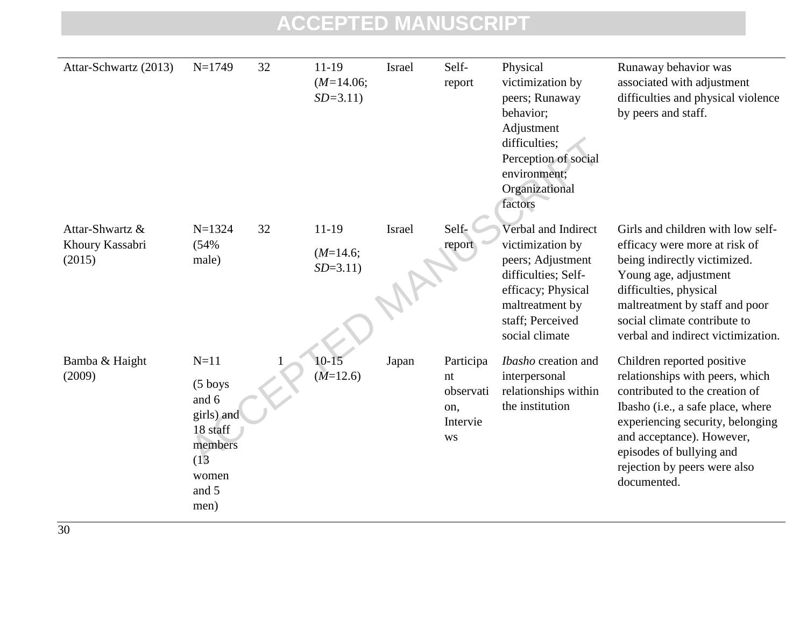| Attar-Schwartz (2013)                        | $N=1749$                                                                                          | 32 | 11-19<br>$(M=14.06;$<br>$SD = 3.11$  | Israel | Self-<br>report                                              | Physical<br>victimization by<br>peers; Runaway<br>behavior;<br>Adjustment<br>difficulties;<br>Perception of social<br>environment;<br>Organizational<br>factors    | Runaway behavior was<br>associated with adjustment<br>difficulties and physical violence<br>by peers and staff.                                                                                                                                                                  |
|----------------------------------------------|---------------------------------------------------------------------------------------------------|----|--------------------------------------|--------|--------------------------------------------------------------|--------------------------------------------------------------------------------------------------------------------------------------------------------------------|----------------------------------------------------------------------------------------------------------------------------------------------------------------------------------------------------------------------------------------------------------------------------------|
| Attar-Shwartz &<br>Khoury Kassabri<br>(2015) | $N = 1324$<br>(54%<br>male)                                                                       | 32 | $11-19$<br>$(M=14.6;$<br>$SD = 3.11$ | Israel | Self-<br>report                                              | Verbal and Indirect<br>victimization by<br>peers; Adjustment<br>difficulties; Self-<br>efficacy; Physical<br>maltreatment by<br>staff; Perceived<br>social climate | Girls and children with low self-<br>efficacy were more at risk of<br>being indirectly victimized.<br>Young age, adjustment<br>difficulties, physical<br>maltreatment by staff and poor<br>social climate contribute to<br>verbal and indirect victimization.                    |
| Bamba & Haight<br>(2009)                     | $N=11$<br>(5 boys<br>and 6<br>girls) and<br>18 staff<br>members<br>(13)<br>women<br>and 5<br>men) |    | $10 - 15$<br>$(M=12.6)$              | Japan  | Participa<br>nt<br>observati<br>on,<br>Intervie<br><b>WS</b> | Ibasho creation and<br>interpersonal<br>relationships within<br>the institution                                                                                    | Children reported positive<br>relationships with peers, which<br>contributed to the creation of<br>Ibasho (i.e., a safe place, where<br>experiencing security, belonging<br>and acceptance). However,<br>episodes of bullying and<br>rejection by peers were also<br>documented. |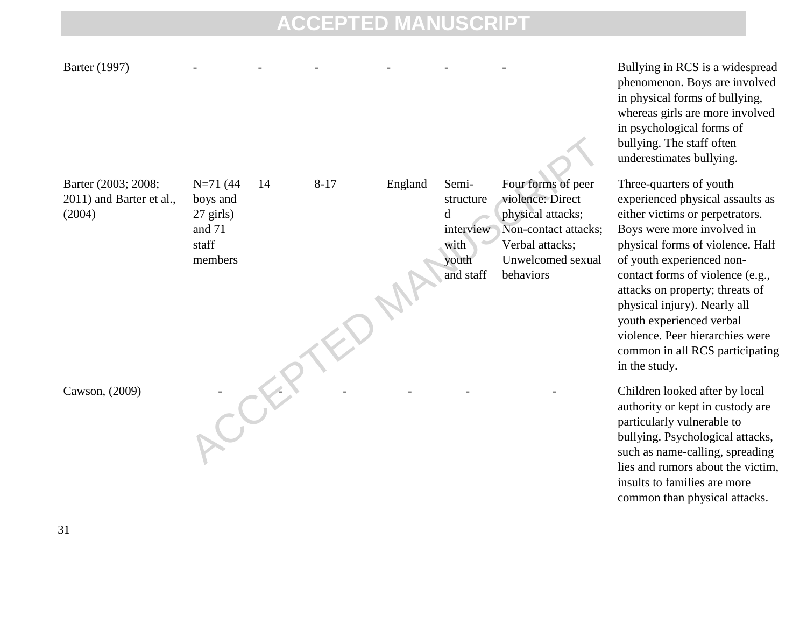structure

Four forms of peer violence: Direct physical attacks; Non-contact attacks; Verbal attacks; Unwelcomed sexual

behaviors

interview with youth and staff

d

14 8-17 England Semi-

Barter (2003; 2008; 2011) and Barter et al., (2004)

N=71 (44 14 8-17 England Semi- Four forms of peer<br>boys and<br>27 girls)<br>and 71 directive violence: Direct<br>structure violence: Direct<br>we Non-contact attacks;<br>staff<br>with Verbal attacks;<br>youth Unwelcomed sexual<br>and staff behavio N=71 (44 boys and 27 girls) and 71 staff members

Barter (1997) - - - - - - - - - - - - - - - Bullying in RCS is a widespread phenomenon. Boys are involved in physical forms of bullying, whereas girls are more involved in psychological forms of bullying. The staff often underestimates bullying.

> Three-quarters of youth experienced physical assaults as either victims or perpetrators. Boys were more involved in physical forms of violence. Half of youth experienced noncontact forms of violence (e.g., attacks on property; threats of physical injury). Nearly all youth experienced verbal violence. Peer hierarchies were common in all RCS participating in the study.

Cawson, (2009) Thildren looked after by local authority or kept in custody are particularly vulnerable to bullying. Psychological attacks, such as name-calling, spreading lies and rumors about the victim, insults to families are more common than physical attacks.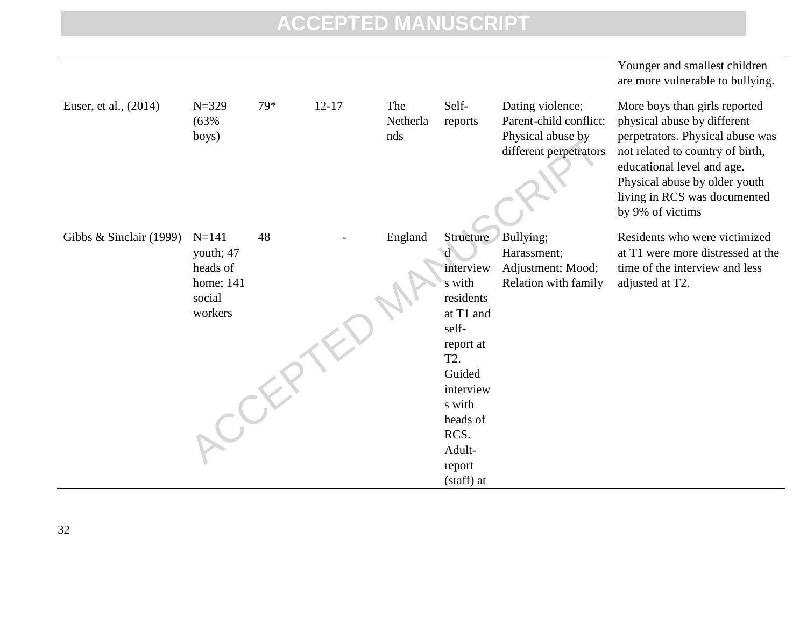|                         |                                                                      |     |           |                        |                                                                                                                                                                                     |                                                                                           | Younger and smallest children<br>are more vulnerable to bullying.                                                                                                                                                                                       |
|-------------------------|----------------------------------------------------------------------|-----|-----------|------------------------|-------------------------------------------------------------------------------------------------------------------------------------------------------------------------------------|-------------------------------------------------------------------------------------------|---------------------------------------------------------------------------------------------------------------------------------------------------------------------------------------------------------------------------------------------------------|
| Euser, et al., (2014)   | $N = 329$<br>(63%<br>boys)                                           | 79* | $12 - 17$ | The<br>Netherla<br>nds | Self-<br>reports                                                                                                                                                                    | Dating violence;<br>Parent-child conflict;<br>Physical abuse by<br>different perpetrators | More boys than girls reported<br>physical abuse by different<br>perpetrators. Physical abuse was<br>not related to country of birth,<br>educational level and age.<br>Physical abuse by older youth<br>living in RCS was documented<br>by 9% of victims |
| Gibbs & Sinclair (1999) | $N = 141$<br>youth; 47<br>heads of<br>home; 141<br>social<br>workers | 48  |           | England                | Structure<br>d<br>interview<br>s with<br>residents<br>at T1 and<br>self-<br>report at<br>T2.<br>Guided<br>interview<br>s with<br>heads of<br>RCS.<br>Adult-<br>report<br>(staff) at | Bullying;<br>Harassment;<br>Adjustment; Mood;<br>Relation with family                     | Residents who were victimized<br>at T1 were more distressed at the<br>time of the interview and less<br>adjusted at T2.                                                                                                                                 |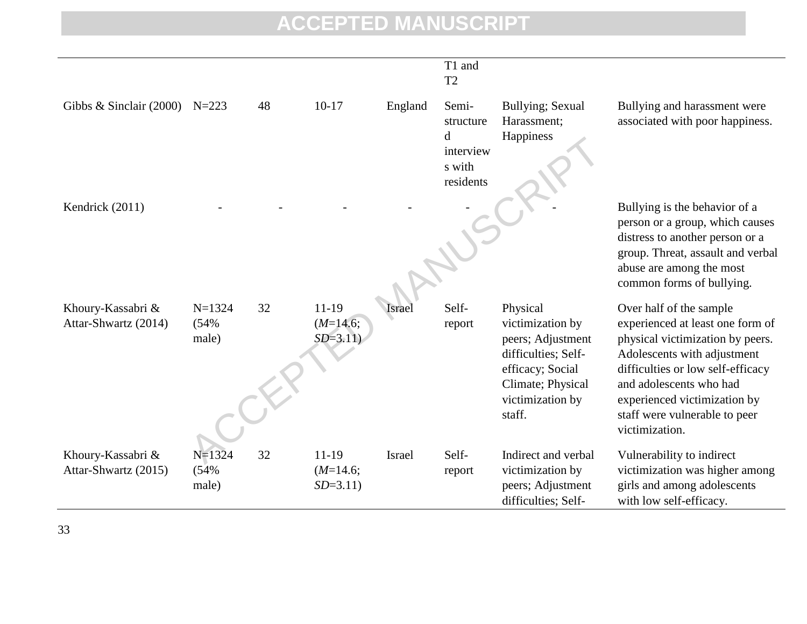|                                           |                             |    |                                      |               | T1 and<br>T <sub>2</sub>                                    |                                                                                                                                                 |                                                                                                                                                                                                                                                                                   |
|-------------------------------------------|-----------------------------|----|--------------------------------------|---------------|-------------------------------------------------------------|-------------------------------------------------------------------------------------------------------------------------------------------------|-----------------------------------------------------------------------------------------------------------------------------------------------------------------------------------------------------------------------------------------------------------------------------------|
| Gibbs $\&$ Sinclair (2000)                | $N = 223$                   | 48 | $10-17$                              | England       | Semi-<br>structure<br>d<br>interview<br>s with<br>residents | Bullying; Sexual<br>Harassment;<br>Happiness                                                                                                    | Bullying and harassment were<br>associated with poor happiness.                                                                                                                                                                                                                   |
| Kendrick (2011)                           |                             |    |                                      |               |                                                             |                                                                                                                                                 | Bullying is the behavior of a<br>person or a group, which causes<br>distress to another person or a<br>group. Threat, assault and verbal<br>abuse are among the most<br>common forms of bullying.                                                                                 |
| Khoury-Kassabri &<br>Attar-Shwartz (2014) | $N=1324$<br>(54%<br>male)   | 32 | $11-19$<br>$(M=14.6;$<br>$SD = 3.11$ | <i>srae</i>   | Self-<br>report                                             | Physical<br>victimization by<br>peers; Adjustment<br>difficulties; Self-<br>efficacy; Social<br>Climate; Physical<br>victimization by<br>staff. | Over half of the sample<br>experienced at least one form of<br>physical victimization by peers.<br>Adolescents with adjustment<br>difficulties or low self-efficacy<br>and adolescents who had<br>experienced victimization by<br>staff were vulnerable to peer<br>victimization. |
| Khoury-Kassabri &<br>Attar-Shwartz (2015) | $N = 1324$<br>(54%<br>male) | 32 | $11-19$<br>$(M=14.6;$<br>$SD = 3.11$ | <b>Israel</b> | Self-<br>report                                             | Indirect and verbal<br>victimization by<br>peers; Adjustment<br>difficulties; Self-                                                             | Vulnerability to indirect<br>victimization was higher among<br>girls and among adolescents<br>with low self-efficacy.                                                                                                                                                             |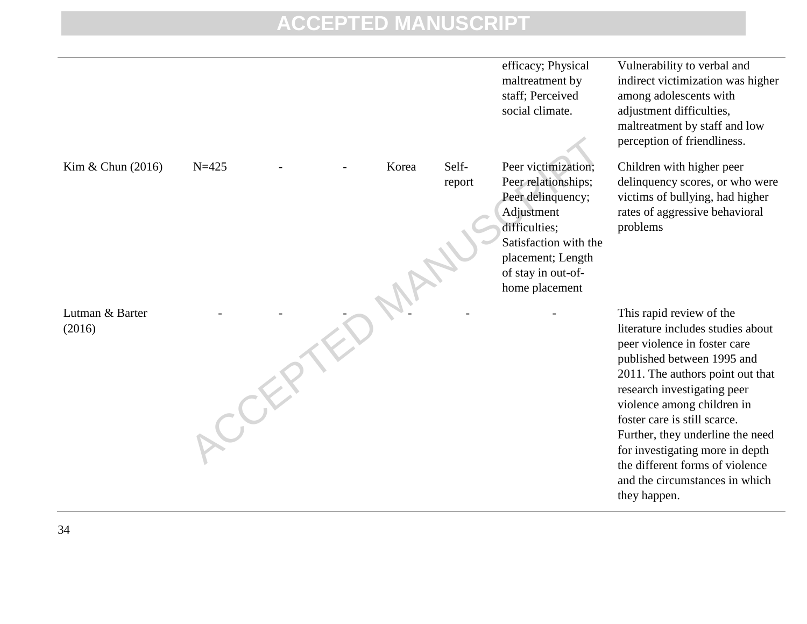|                           |           |       |        | efficacy; Physical<br>maltreatment by<br>staff; Perceived<br>social climate.                                                                                  | Vulnerability to verbal and<br>indirect victimization was higher<br>among adolescents with<br>adjustment difficulties,<br>maltreatment by staff and low<br>perception of friendliness.                                                                                                                                                                                                                                   |
|---------------------------|-----------|-------|--------|---------------------------------------------------------------------------------------------------------------------------------------------------------------|--------------------------------------------------------------------------------------------------------------------------------------------------------------------------------------------------------------------------------------------------------------------------------------------------------------------------------------------------------------------------------------------------------------------------|
| Kim & Chun (2016)         | $N = 425$ | Korea | Self-  | Peer victimization;                                                                                                                                           | Children with higher peer                                                                                                                                                                                                                                                                                                                                                                                                |
|                           |           |       | report | Peer relationships;<br>Peer delinquency;<br>Adjustment<br>difficulties;<br>Satisfaction with the<br>placement; Length<br>of stay in out-of-<br>home placement | delinquency scores, or who were<br>victims of bullying, had higher<br>rates of aggressive behavioral<br>problems                                                                                                                                                                                                                                                                                                         |
| Lutman & Barter<br>(2016) |           |       |        |                                                                                                                                                               | This rapid review of the<br>literature includes studies about<br>peer violence in foster care<br>published between 1995 and<br>2011. The authors point out that<br>research investigating peer<br>violence among children in<br>foster care is still scarce.<br>Further, they underline the need<br>for investigating more in depth<br>the different forms of violence<br>and the circumstances in which<br>they happen. |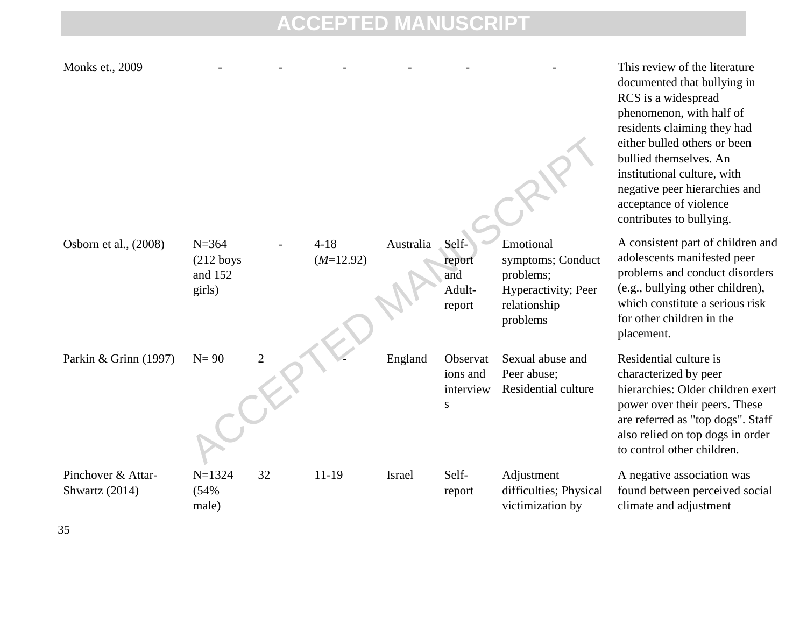| Monks et., 2009                      |                                               |                |                         |           |                                                |                                                                                                | This review of the literature<br>documented that bullying in<br>RCS is a widespread<br>phenomenon, with half of<br>residents claiming they had<br>either bulled others or been<br>bullied themselves. An<br>institutional culture, with<br>negative peer hierarchies and<br>acceptance of violence<br>contributes to bullying. |
|--------------------------------------|-----------------------------------------------|----------------|-------------------------|-----------|------------------------------------------------|------------------------------------------------------------------------------------------------|--------------------------------------------------------------------------------------------------------------------------------------------------------------------------------------------------------------------------------------------------------------------------------------------------------------------------------|
| Osborn et al., (2008)                | $N = 364$<br>$(212$ boys<br>and 152<br>girls) |                | $4 - 18$<br>$(M=12.92)$ | Australia | Self-<br>report<br>and<br>Adult-<br>report     | Emotional<br>symptoms; Conduct<br>problems;<br>Hyperactivity; Peer<br>relationship<br>problems | A consistent part of children and<br>adolescents manifested peer<br>problems and conduct disorders<br>(e.g., bullying other children),<br>which constitute a serious risk<br>for other children in the<br>placement.                                                                                                           |
| Parkin & Grinn (1997)                | $N=90$                                        | $\overline{2}$ |                         | England   | Observat<br>ions and<br>interview<br>${\bf S}$ | Sexual abuse and<br>Peer abuse;<br>Residential culture                                         | Residential culture is<br>characterized by peer<br>hierarchies: Older children exert<br>power over their peers. These<br>are referred as "top dogs". Staff<br>also relied on top dogs in order<br>to control other children.                                                                                                   |
| Pinchover & Attar-<br>Shwartz (2014) | $N = 1324$<br>(54%<br>male)                   | 32             | $11-19$                 | Israel    | Self-<br>report                                | Adjustment<br>difficulties; Physical<br>victimization by                                       | A negative association was<br>found between perceived social<br>climate and adjustment                                                                                                                                                                                                                                         |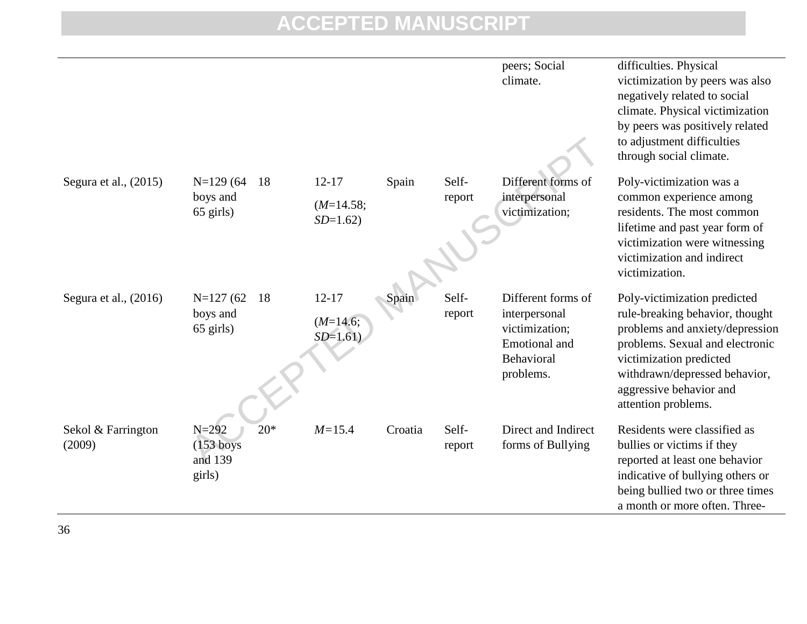|                              |                                                        |                                       |         |                 | peers; Social<br>climate.                                                                         | difficulties. Physical<br>victimization by peers was also<br>negatively related to social<br>climate. Physical victimization<br>by peers was positively related<br>to adjustment difficulties<br>through social climate.                            |
|------------------------------|--------------------------------------------------------|---------------------------------------|---------|-----------------|---------------------------------------------------------------------------------------------------|-----------------------------------------------------------------------------------------------------------------------------------------------------------------------------------------------------------------------------------------------------|
| Segura et al., $(2015)$      | $N=129(64)$<br>18<br>boys and<br>$65$ girls)           | $12 - 17$<br>$(M=14.58;$<br>$SD=1.62$ | Spain   | Self-<br>report | Different forms of<br>interpersonal<br>victimization;                                             | Poly-victimization was a<br>common experience among<br>residents. The most common<br>lifetime and past year form of<br>victimization were witnessing<br>victimization and indirect<br>victimization.                                                |
| Segura et al., $(2016)$      | $N=127(62)$<br>18<br>boys and<br>65 girls)             | $12 - 17$<br>$(M=14.6;$<br>$SD=1.61$  | Spain   | Self-<br>report | Different forms of<br>interpersonal<br>victimization;<br>Emotional and<br>Behavioral<br>problems. | Poly-victimization predicted<br>rule-breaking behavior, thought<br>problems and anxiety/depression<br>problems. Sexual and electronic<br>victimization predicted<br>withdrawn/depressed behavior,<br>aggressive behavior and<br>attention problems. |
| Sekol & Farrington<br>(2009) | $20*$<br>$N = 292$<br>$(153$ boys<br>and 139<br>girls) | $M = 15.4$                            | Croatia | Self-<br>report | Direct and Indirect<br>forms of Bullying                                                          | Residents were classified as<br>bullies or victims if they<br>reported at least one behavior<br>indicative of bullying others or<br>being bullied two or three times<br>a month or more often. Three-                                               |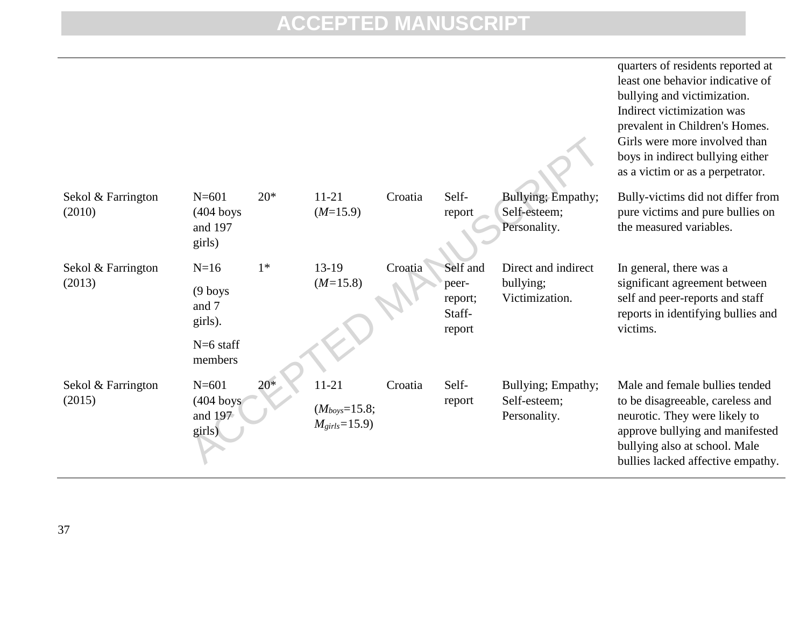|                              |                                                                   |       |                                                      |         |                                                  |                                                    | quarters of residents reported at<br>least one behavior indicative of<br>bullying and victimization.<br>Indirect victimization was<br>prevalent in Children's Homes.<br>Girls were more involved than<br>boys in indirect bullying either<br>as a victim or as a perpetrator. |
|------------------------------|-------------------------------------------------------------------|-------|------------------------------------------------------|---------|--------------------------------------------------|----------------------------------------------------|-------------------------------------------------------------------------------------------------------------------------------------------------------------------------------------------------------------------------------------------------------------------------------|
| Sekol & Farrington<br>(2010) | $N = 601$<br>$(404$ boys<br>and 197<br>girls)                     | $20*$ | $11 - 21$<br>$(M=15.9)$                              | Croatia | Self-<br>report                                  | Bullying; Empathy;<br>Self-esteem;<br>Personality. | Bully-victims did not differ from<br>pure victims and pure bullies on<br>the measured variables.                                                                                                                                                                              |
| Sekol & Farrington<br>(2013) | $N=16$<br>$(9$ boys<br>and 7<br>girls).<br>$N=6$ staff<br>members | $1*$  | $13-19$<br>$(M=15.8)$                                | Croatia | Self and<br>peer-<br>report;<br>Staff-<br>report | Direct and indirect<br>bullying;<br>Victimization. | In general, there was a<br>significant agreement between<br>self and peer-reports and staff<br>reports in identifying bullies and<br>victims.                                                                                                                                 |
| Sekol & Farrington<br>(2015) | $N = 601$<br>$(404$ boys<br>and 197<br>girls)                     | $20*$ | $11 - 21$<br>$(M_{boys}=15.8;$<br>$M_{girls} = 15.9$ | Croatia | Self-<br>report                                  | Bullying; Empathy;<br>Self-esteem;<br>Personality. | Male and female bullies tended<br>to be disagreeable, careless and<br>neurotic. They were likely to<br>approve bullying and manifested<br>bullying also at school. Male<br>bullies lacked affective empathy.                                                                  |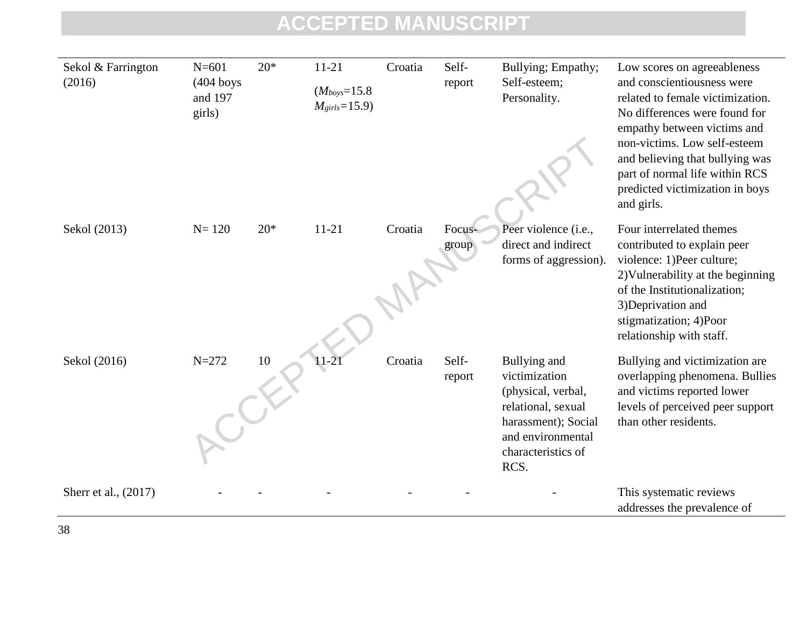| Sekol & Farrington   | $N = 601$                        | $20*$ | $11 - 21$                                 | Croatia | Self-           | Bullying; Empathy;                                                                                                                                  | Low scores on agreeableness                                                                                                                                                                                                                                                          |
|----------------------|----------------------------------|-------|-------------------------------------------|---------|-----------------|-----------------------------------------------------------------------------------------------------------------------------------------------------|--------------------------------------------------------------------------------------------------------------------------------------------------------------------------------------------------------------------------------------------------------------------------------------|
| (2016)               | $(404$ boys<br>and 197<br>girls) |       | $(M_{boys} = 15.8)$<br>$M_{girls} = 15.9$ |         | report          | Self-esteem;<br>Personality.                                                                                                                        | and conscientiousness were<br>related to female victimization.<br>No differences were found for<br>empathy between victims and<br>non-victims. Low self-esteem<br>and believing that bullying was<br>part of normal life within RCS<br>predicted victimization in boys<br>and girls. |
| Sekol (2013)         | $N = 120$                        | $20*$ | $11 - 21$                                 | Croatia | Focus-<br>group | Peer violence (i.e.,<br>direct and indirect<br>forms of aggression).                                                                                | Four interrelated themes<br>contributed to explain peer<br>violence: 1)Peer culture;<br>2) Vulnerability at the beginning<br>of the Institutionalization;<br>3) Deprivation and<br>stigmatization; 4)Poor                                                                            |
| Sekol (2016)         | $N = 272$                        | 10    | 11-21                                     | Croatia | Self-<br>report | Bullying and<br>victimization<br>(physical, verbal,<br>relational, sexual<br>harassment); Social<br>and environmental<br>characteristics of<br>RCS. | relationship with staff.<br>Bullying and victimization are<br>overlapping phenomena. Bullies<br>and victims reported lower<br>levels of perceived peer support<br>than other residents.                                                                                              |
| Sherr et al., (2017) |                                  |       |                                           |         |                 |                                                                                                                                                     | This systematic reviews<br>addresses the prevalence of                                                                                                                                                                                                                               |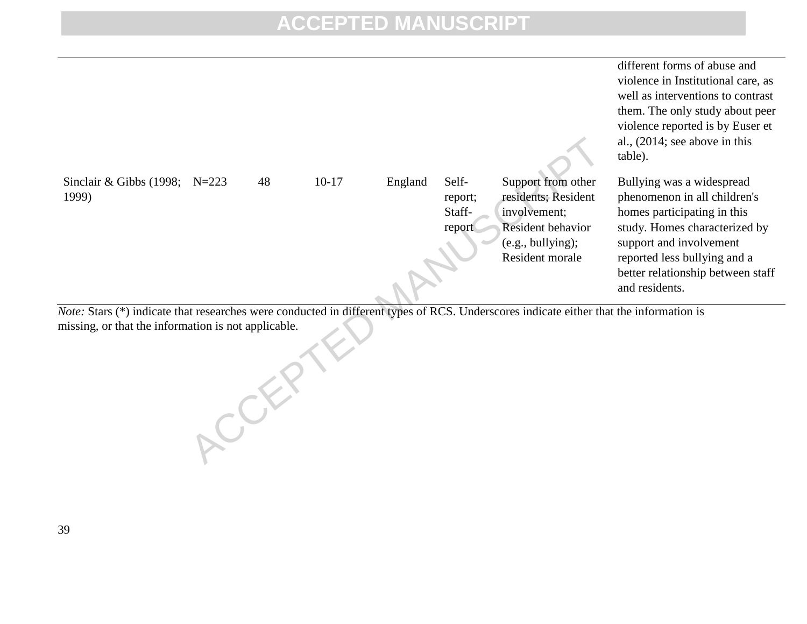

*Note:* Stars (\*) indicate that researches were conducted in different types of RCS. Underscores indicate either that the information is missing, or that the information is not applicable.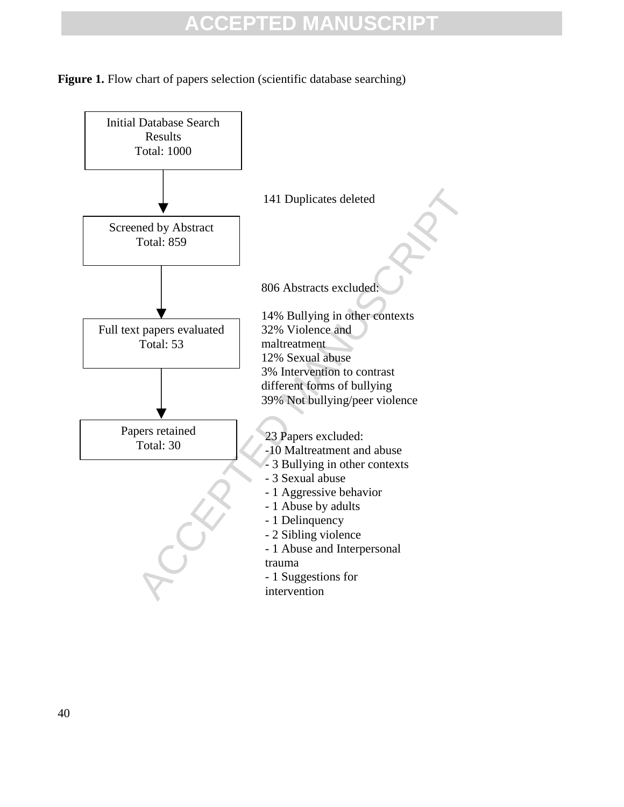**Figure 1.** Flow chart of papers selection (scientific database searching)

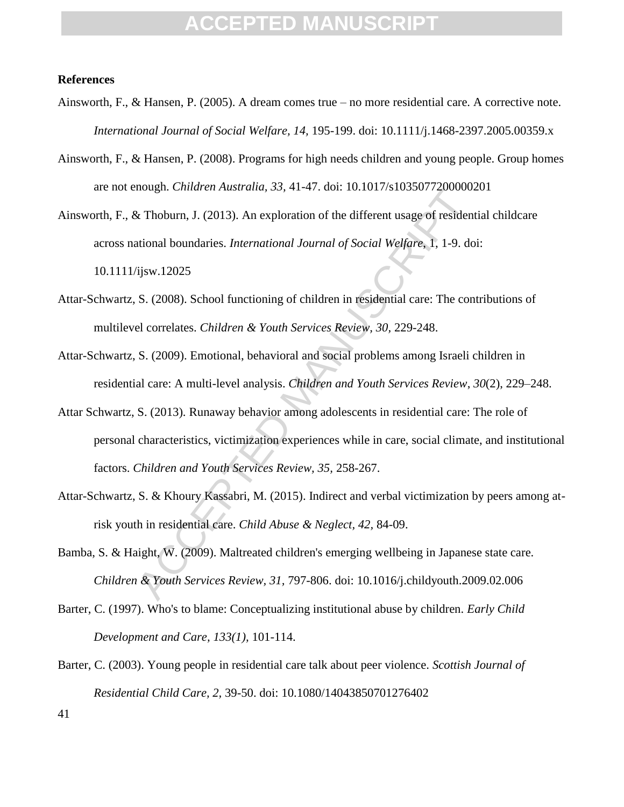#### **References**

- Ainsworth, F., & Hansen, P. (2005). A dream comes true no more residential care. A corrective note. *International Journal of Social Welfare, 14,* 195-199. doi: 10.1111/j.1468-2397.2005.00359.x
- Ainsworth, F., & Hansen, P. (2008). Programs for high needs children and young people. Group homes are not enough. *Children Australia, 33,* 41-47. doi: 10.1017/s1035077200000201

nought. Children Adsiratia, 55, 41-47. doi. 10.101781055077200000.<br>
See Thoburn, J. (2013). An exploration of the different usage of residentional boundaries. *International Journal of Social Welfare*, 1, 1-9. dof ijsw.120 Ainsworth, F., & Thoburn, J. (2013). An exploration of the different usage of residential childcare across national boundaries. *International Journal of Social Welfare*, 1, 1-9. doi: 10.1111/ijsw.12025

- Attar-Schwartz, S. (2008). School functioning of children in residential care: The contributions of multilevel correlates. *Children & Youth Services Review, 30,* 229-248.
- Attar-Schwartz, S. (2009). Emotional, behavioral and social problems among Israeli children in residential care: A multi-level analysis. *Children and Youth Services Review*, *30*(2), 229–248.
- Attar Schwartz, S. (2013)*.* Runaway behavior among adolescents in residential care: The role of personal characteristics, victimization experiences while in care, social climate, and institutional factors. *Children and Youth Services Review, 35,* 258-267.
- Attar-Schwartz, S. & Khoury Kassabri, M. (2015). Indirect and verbal victimization by peers among atrisk youth in residential care. *Child Abuse & Neglect, 42,* 84-09.
- Bamba, S. & Haight, W. (2009). Maltreated children's emerging wellbeing in Japanese state care. *Children & Youth Services Review, 31,* 797-806. doi: 10.1016/j.childyouth.2009.02.006
- Barter, C. (1997). Who's to blame: Conceptualizing institutional abuse by children. *Early Child Development and Care, 133(1),* 101-114.
- Barter, C. (2003). Young people in residential care talk about peer violence. *Scottish Journal of Residential Child Care, 2,* 39-50. doi: 10.1080/14043850701276402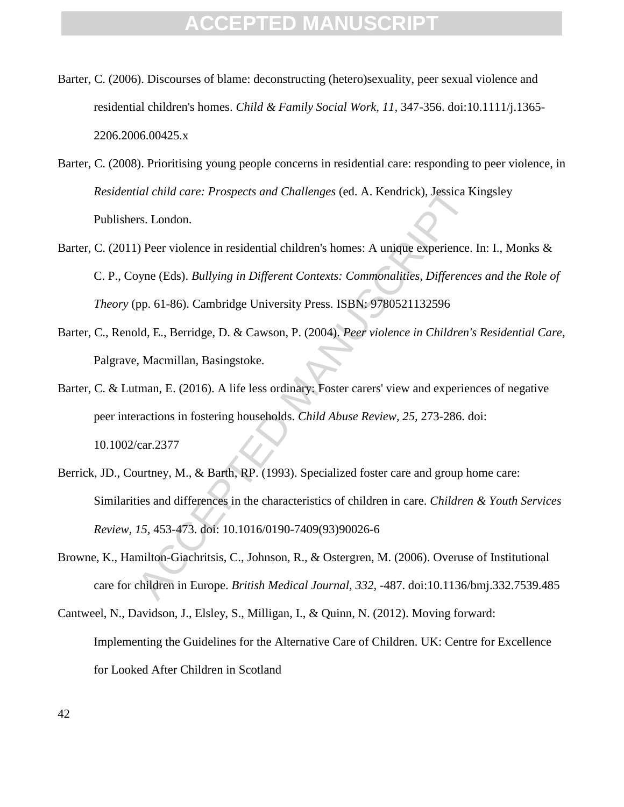- Barter, C. (2006). Discourses of blame: deconstructing (hetero)sexuality, peer sexual violence and residential children's homes. *Child & Family Social Work, 11,* 347-356. doi:10.1111/j.1365- 2206.2006.00425.x
- Barter, C. (2008). Prioritising young people concerns in residential care: responding to peer violence, in *Residential child care: Prospects and Challenges* (ed. A. Kendrick), Jessica Kingsley Publishers. London.
- Barter, C. (2011) Peer violence in residential children's homes: A unique experience. In: I., Monks & C. P., Coyne (Eds). *Bullying in Different Contexts: Commonalities, Differences and the Role of Theory* (pp. 61-86). Cambridge University Press. ISBN: 9780521132596
- Barter, C., Renold, E., Berridge, D. & Cawson, P. (2004). *Peer violence in Children's Residential Care*, Palgrave, Macmillan, Basingstoke.
- ial child care: Prospects and Challenges (ed. A. Kendrick), Jessica K<br>rs. London.<br>The Violence in residential children's homes: A unique experience.<br>Dyne (Eds). *Bullying in Different Contexts: Commonalities, Difference*<br>p Barter, C. & Lutman, E. (2016). A life less ordinary: Foster carers' view and experiences of negative peer interactions in fostering households. *Child Abuse Review, 25,* 273-286. doi: 10.1002/car.2377
- Berrick, JD., Courtney, M., & Barth, RP. (1993). Specialized foster care and group home care: Similarities and differences in the characteristics of children in care. *Children & Youth Services Review, 15,* 453-473. doi: 10.1016/0190-7409(93)90026-6
- Browne, K., Hamilton-Giachritsis, C., Johnson, R., & Ostergren, M. (2006). Overuse of Institutional care for children in Europe. *British Medical Journal, 332,* -487. doi:10.1136/bmj.332.7539.485
- Cantweel, N., Davidson, J., Elsley, S., Milligan, I., & Quinn, N. (2012). Moving forward: Implementing the Guidelines for the Alternative Care of Children. UK: Centre for Excellence for Looked After Children in Scotland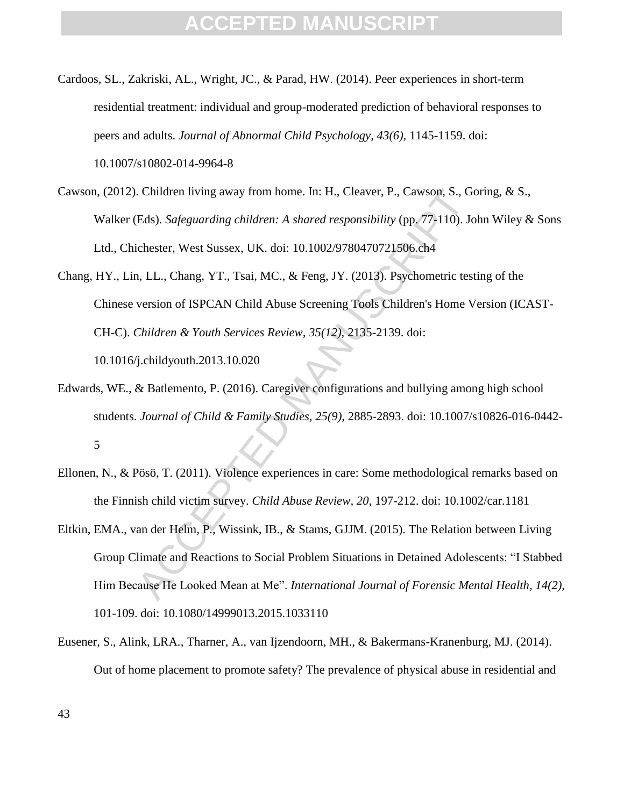- Cardoos, SL., Zakriski, AL., Wright, JC., & Parad, HW. (2014). Peer experiences in short-term residential treatment: individual and group-moderated prediction of behavioral responses to peers and adults. *Journal of Abnormal Child Psychology, 43(6),* 1145-1159. doi: 10.1007/s10802-014-9964-8
- Cawson, (2012). Children living away from home. In: H., Cleaver, P., Cawson, S., Goring, & S., Walker (Eds). *Safeguarding children: A shared responsibility* (pp. 77-110). John Wiley & Sons Ltd., Chichester, West Sussex, UK. doi: 10.1002/9780470721506.ch4
- Children living away from home. In: H., Cleaver, P., Cawson, S., G. (Eds). *Safeguarding children: A shared responsibility* (pp. 77-110). Jc<br>
Eds). *Safeguarding children: A shared responsibility* (pp. 77-110). Jc<br>
chester Chang, HY., Lin, LL., Chang, YT., Tsai, MC., & Feng, JY. (2013). Psychometric testing of the Chinese version of ISPCAN Child Abuse Screening Tools Children's Home Version (ICAST-CH-C). *Children & Youth Services Review, 35(12),* 2135-2139. doi: 10.1016/j.childyouth.2013.10.020
- Edwards, WE., & Batlemento, P. (2016). Caregiver configurations and bullying among high school students. *Journal of Child & Family Studies, 25(9),* 2885-2893. doi: 10.1007/s10826-016-0442- 5
- Ellonen, N., & Pösö, T. (2011). Violence experiences in care: Some methodological remarks based on the Finnish child victim survey. *Child Abuse Review, 20,* 197-212. doi: 10.1002/car.1181
- Eltkin, EMA., van der Helm, P., Wissink, IB., & Stams, GJJM. (2015). The Relation between Living Group Climate and Reactions to Social Problem Situations in Detained Adolescents: "I Stabbed Him Because He Looked Mean at Me". *International Journal of Forensic Mental Health, 14(2),* 101-109. doi: 10.1080/14999013.2015.1033110
- Eusener, S., Alink, LRA., Tharner, A., van Ijzendoorn, MH., & Bakermans-Kranenburg, MJ. (2014). Out of home placement to promote safety? The prevalence of physical abuse in residential and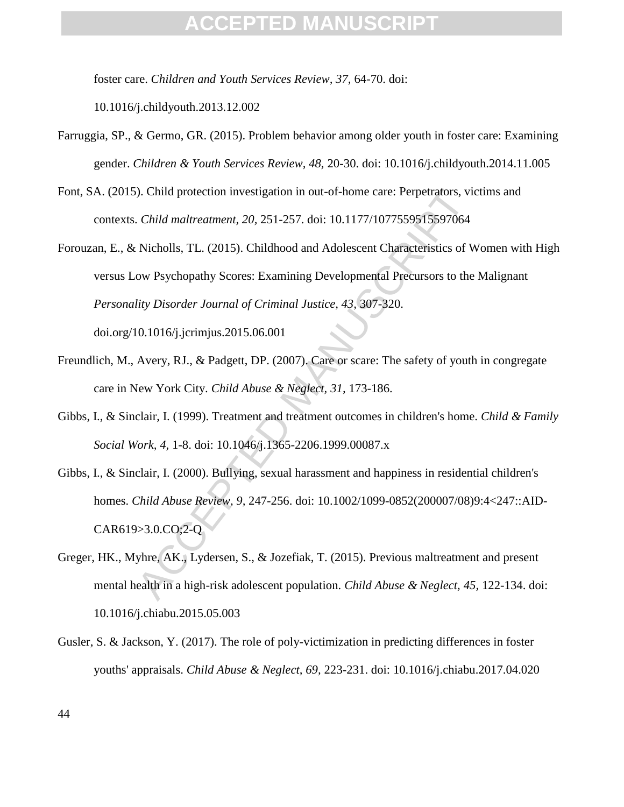foster care. *Children and Youth Services Review, 37,* 64-70. doi:

10.1016/j.childyouth.2013.12.002

- Farruggia, SP., & Germo, GR. (2015). Problem behavior among older youth in foster care: Examining gender. *Children & Youth Services Review, 48,* 20-30. doi: 10.1016/j.childyouth.2014.11.005
- Font, SA. (2015). Child protection investigation in out-of-home care: Perpetrators, victims and contexts. *Child maltreatment, 20,* 251-257. doi: 10.1177/1077559515597064
- ). Child protection investigation in out-of-home care: Perpetrators, via Child maltreatment, 20, 251-257. doi: 10.1177/1077559515597064<br>Nicholls, TL. (2015). Childhood and Adolescent Characteristics of V<br>ow Psychopathy Sc Forouzan, E., & Nicholls, TL. (2015). Childhood and Adolescent Characteristics of Women with High versus Low Psychopathy Scores: Examining Developmental Precursors to the Malignant *Personality Disorder Journal of Criminal Justice, 43,* 307-320. doi.org/10.1016/j.jcrimjus.2015.06.001
- Freundlich, M., Avery, RJ., & Padgett, DP. (2007). Care or scare: The safety of youth in congregate care in New York City. *Child Abuse & Neglect, 31,* 173-186.
- Gibbs, I., & Sinclair, I. (1999). Treatment and treatment outcomes in children's home. *Child & Family Social Work, 4,* 1-8. doi: 10.1046/j.1365-2206.1999.00087.x
- Gibbs, I., & Sinclair, I. (2000). Bullying, sexual harassment and happiness in residential children's homes. *Child Abuse Review, 9,* 247-256. doi: 10.1002/1099-0852(200007/08)9:4<247::AID-CAR619>3.0.CO;2-Q
- Greger, HK., Myhre, AK., Lydersen, S., & Jozefiak, T. (2015). Previous maltreatment and present mental health in a high-risk adolescent population. *Child Abuse & Neglect, 45,* 122-134. doi: 10.1016/j.chiabu.2015.05.003
- Gusler, S. & Jackson, Y. (2017). The role of poly-victimization in predicting differences in foster youths' appraisals. *Child Abuse & Neglect, 69,* 223-231. doi: 10.1016/j.chiabu.2017.04.020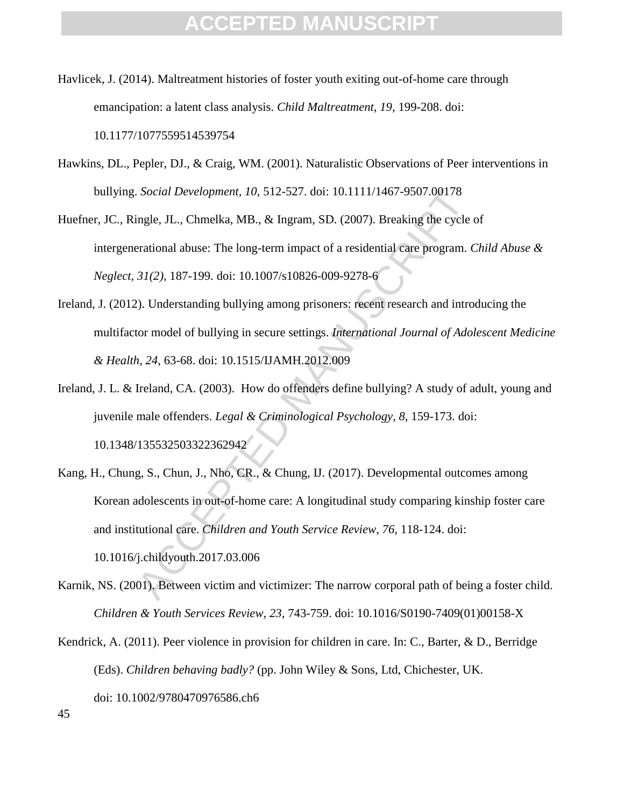- Havlicek, J. (2014). Maltreatment histories of foster youth exiting out-of-home care through emancipation: a latent class analysis. *Child Maltreatment, 19,* 199-208. doi: 10.1177/1077559514539754
- Hawkins, DL., Pepler, DJ., & Craig, WM. (2001). Naturalistic Observations of Peer interventions in bullying. *Social Development, 10,* 512-527. doi: 10.1111/1467-9507.00178

Huefner, JC., Ringle, JL., Chmelka, MB., & Ingram, SD. (2007). Breaking the cycle of intergenerational abuse: The long-term impact of a residential care program. *Child Abuse & Neglect, 31(2),* 187-199. doi: 10.1007/s10826-009-9278-6

- Ireland, J. (2012). Understanding bullying among prisoners: recent research and introducing the multifactor model of bullying in secure settings. *International Journal of Adolescent Medicine & Health, 24,* 63-68. doi: 10.1515/IJAMH.2012.009
- Ireland, J. L. & Ireland, CA. (2003). How do offenders define bullying? A study of adult, young and juvenile male offenders. *Legal & Criminological Psychology, 8,* 159-173. doi: 10.1348/135532503322362942
- Social Development, 10, 512-527. doi: 10.1111/1467-9507.00178<br>ingle, JL., Chmelka, MB., & Ingram, SD. (2007). Breaking the cycle erational abuse: The long-term impact of a residential care program. (31(2), 187-199. doi: 10 Kang, H., Chung, S., Chun, J., Nho, CR., & Chung, IJ. (2017). Developmental outcomes among Korean adolescents in out-of-home care: A longitudinal study comparing kinship foster care and institutional care. *Children and Youth Service Review, 76,* 118-124. doi: 10.1016/j.childyouth.2017.03.006
- Karnik, NS. (2001). Between victim and victimizer: The narrow corporal path of being a foster child. *Children & Youth Services Review, 23,* 743-759. doi: 10.1016/S0190-7409(01)00158-X
- Kendrick, A. (2011). Peer violence in provision for children in care. In: C., Barter, & D., Berridge (Eds). *Children behaving badly?* (pp. John Wiley & Sons, Ltd, Chichester, UK. doi: 10.1002/9780470976586.ch6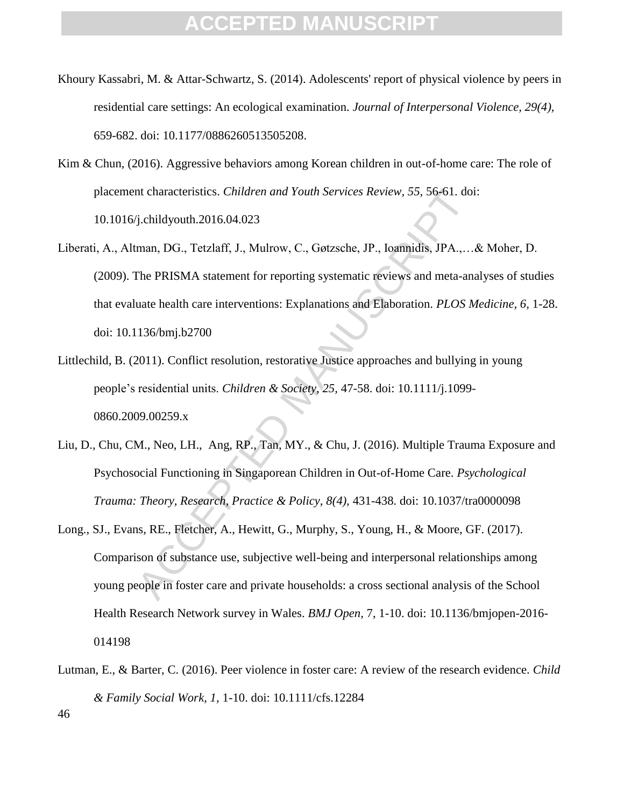- Khoury Kassabri, M. & Attar-Schwartz, S. (2014). Adolescents' report of physical violence by peers in residential care settings: An ecological examination. *Journal of Interpersonal Violence, 29(4),* 659-682. doi: 10.1177/0886260513505208.
- Kim & Chun, (2016). Aggressive behaviors among Korean children in out-of-home care: The role of placement characteristics. *Children and Youth Services Review, 55,* 56-61. doi: 10.1016/j.childyouth.2016.04.023
- Interacteristics. *Children and Youth Services Review*, 55, 56-61. doif<br>
f.childyouth.2016.04.023<br>
man, DG., Tetzlaff, J., Mulrow, C., Gøtzsche, JP., Ioannidis, JPA.,...<br>
The PRISMA statement for reporting systematic revie Liberati, A., Altman, DG., Tetzlaff, J., Mulrow, C., Gøtzsche, JP., Ioannidis, JPA.,…& Moher, D. (2009). The PRISMA statement for reporting systematic reviews and meta-analyses of studies that evaluate health care interventions: Explanations and Elaboration. *PLOS Medicine, 6,* 1-28. doi: 10.1136/bmj.b2700
- Littlechild, B. (2011). Conflict resolution, restorative Justice approaches and bullying in young people's residential units. *Children & Society, 25,* 47-58. doi: 10.1111/j.1099- 0860.2009.00259.x
- Liu, D., Chu, CM., Neo, LH., Ang, RP., Tan, MY., & Chu, J. (2016). Multiple Trauma Exposure and Psychosocial Functioning in Singaporean Children in Out-of-Home Care. *Psychological Trauma: Theory, Research, Practice & Policy, 8(4),* 431-438. doi: 10.1037/tra0000098
- Long., SJ., Evans, RE., Fletcher, A., Hewitt, G., Murphy, S., Young, H., & Moore, GF. (2017). Comparison of substance use, subjective well-being and interpersonal relationships among young people in foster care and private households: a cross sectional analysis of the School Health Research Network survey in Wales. *BMJ Open,* 7, 1-10. doi: 10.1136/bmjopen-2016- 014198
- 46 Lutman, E., & Barter, C. (2016). Peer violence in foster care: A review of the research evidence. *Child & Family Social Work, 1,* 1-10. doi: 10.1111/cfs.12284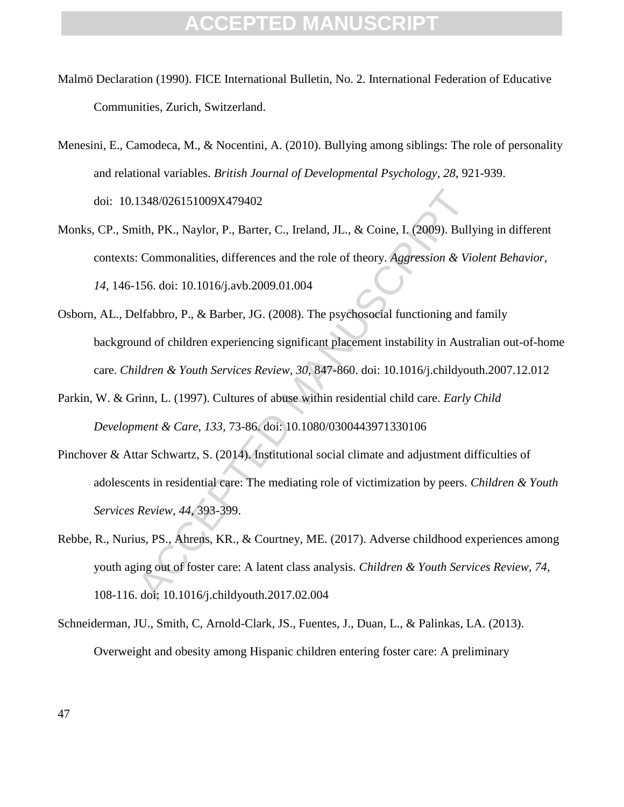- Malmö Declaration (1990). FICE International Bulletin, No. 2. International Federation of Educative Communities, Zurich, Switzerland.
- Menesini, E., Camodeca, M., & Nocentini, A. (2010). Bullying among siblings: The role of personality and relational variables. *British Journal of Developmental Psychology, 28,* 921-939. doi: 10.1348/026151009X479402
- Monks, CP., Smith, PK., Naylor, P., Barter, C., Ireland, JL., & Coine, I. (2009). Bullying in different contexts: Commonalities, differences and the role of theory. *Aggression & Violent Behavior, 14,* 146-156. doi: 10.1016/j.avb.2009.01.004
- Osborn, AL., Delfabbro, P., & Barber, JG. (2008). The psychosocial functioning and family background of children experiencing significant placement instability in Australian out-of-home care. *Children & Youth Services Review, 30,* 847-860. doi: 10.1016/j.childyouth.2007.12.012
- Parkin, W. & Grinn, L. (1997). Cultures of abuse within residential child care. *Early Child Development & Care, 133,* 73-86. doi: 10.1080/0300443971330106
- Pinchover & Attar Schwartz, S. (2014). Institutional social climate and adjustment difficulties of adolescents in residential care: The mediating role of victimization by peers. *Children & Youth Services Review, 44,* 393-399.
- 1348/026151009X479402<br>
ith, PK., Naylor, P., Barter, C., Ireland, J.L., & Coine, I. (2009). Bully<br>
Commonalities, differences and the role of theory. Aggression & Via<br>
156. doi: 10.1016/j.avb.2009.01.004<br>
elfabbro, P., & B Rebbe, R., Nurius, PS., Ahrens, KR., & Courtney, ME. (2017). Adverse childhood experiences among youth aging out of foster care: A latent class analysis. *Children & Youth Services Review, 74,*  108-116. doi: 10.1016/j.childyouth.2017.02.004
- Schneiderman, JU., Smith, C, Arnold-Clark, JS., Fuentes, J., Duan, L., & Palinkas, LA. (2013). Overweight and obesity among Hispanic children entering foster care: A preliminary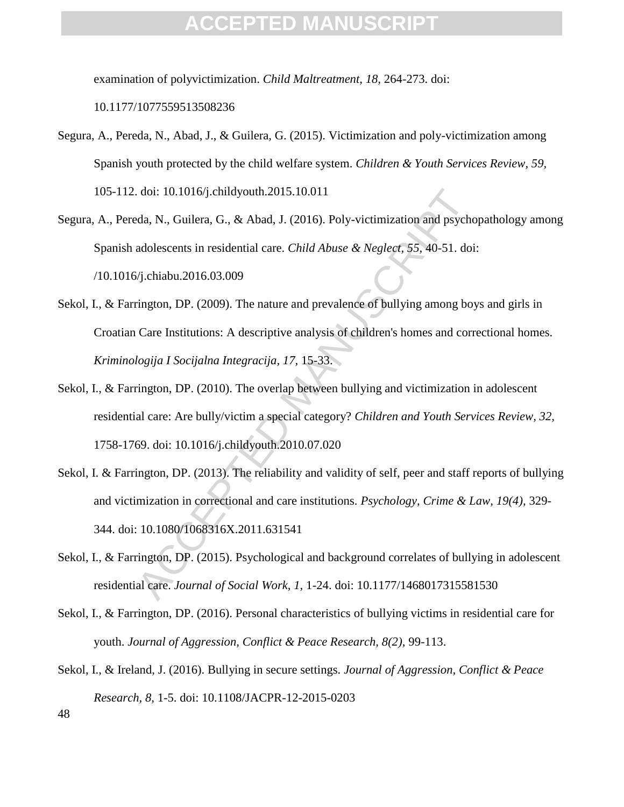examination of polyvictimization. *Child Maltreatment, 18,* 264-273. doi:

10.1177/1077559513508236

- Segura, A., Pereda, N., Abad, J., & Guilera, G. (2015). Victimization and poly-victimization among Spanish youth protected by the child welfare system. *Children & Youth Services Review, 59,* 105-112. doi: 10.1016/j.childyouth.2015.10.011
- Segura, A., Pereda, N., Guilera, G., & Abad, J. (2016). Poly-victimization and psychopathology among Spanish adolescents in residential care. *Child Abuse & Neglect, 55,* 40-51. doi: /10.1016/j.chiabu.2016.03.009
- da, N., Guilera, G., & Abad, J. (2015). Poly-victimization and psychola, N., Guilera, G., & Abad, J. (2016). Poly-victimization and psycholal adolescents in residential care. *Child Abuse & Negleet,* 55, 40-51. doif). Chi Sekol, I., & Farrington, DP. (2009). The nature and prevalence of bullying among boys and girls in Croatian Care Institutions: A descriptive analysis of children's homes and correctional homes. *Kriminologija I Socijalna Integracija, 17,* 15-33.
- Sekol, I., & Farrington, DP. (2010). The overlap between bullying and victimization in adolescent residential care: Are bully/victim a special category? *Children and Youth Services Review, 32,* 1758-1769. doi: 10.1016/j.childyouth.2010.07.020
- Sekol, I. & Farrington, DP. (2013). The reliability and validity of self, peer and staff reports of bullying and victimization in correctional and care institutions. *Psychology, Crime & Law, 19(4),* 329- 344. doi: 10.1080/1068316X.2011.631541
- Sekol, I., & Farrington, DP. (2015). Psychological and background correlates of bullying in adolescent residential care. *Journal of Social Work, 1,* 1-24. doi: 10.1177/1468017315581530
- Sekol, I., & Farrington, DP. (2016). Personal characteristics of bullying victims in residential care for youth. *Journal of Aggression, Conflict & Peace Research, 8(2),* 99-113.
- 48 Sekol, I., & Ireland, J. (2016). Bullying in secure settings. *Journal of Aggression, Conflict & Peace Research, 8,* 1-5. doi: 10.1108/JACPR-12-2015-0203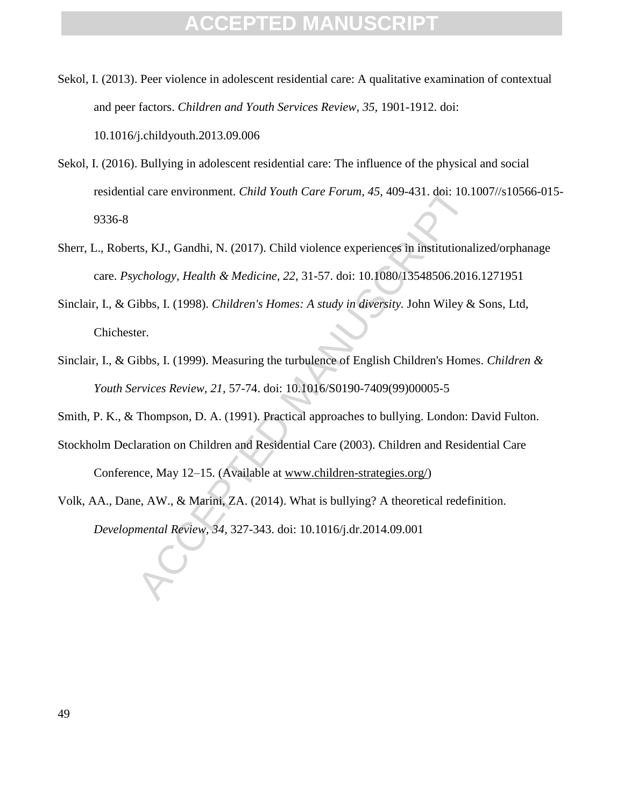Sekol, I. (2013). Peer violence in adolescent residential care: A qualitative examination of contextual and peer factors. *Children and Youth Services Review, 35,* 1901-1912. doi: 10.1016/j.childyouth.2013.09.006

- Sekol, I. (2016). Bullying in adolescent residential care: The influence of the physical and social residential care environment. *Child Youth Care Forum, 45,* 409-431. doi: 10.1007//s10566-015- 9336-8
- Sherr, L., Roberts, KJ., Gandhi, N. (2017). Child violence experiences in institutionalized/orphanage care. *Psychology, Health & Medicine, 22,* 31-57. doi: 10.1080/13548506.2016.1271951
- Sinclair, I., & Gibbs, I. (1998). *Children's Homes: A study in diversity.* John Wiley & Sons, Ltd, Chichester.
- Sinclair, I., & Gibbs, I. (1999). Measuring the turbulence of English Children's Homes. *Children & Youth Services Review, 21,* 57-74. doi: 10.1016/S0190-7409(99)00005-5
- Smith, P. K., & Thompson, D. A. (1991). Practical approaches to bullying. London: David Fulton.
- al care environment. *Child Youth Care Forum, 45, 409-431*. doi: 10.1<br>ts, KJ., Gandhi, N. (2017). Child violence experiences in institutional<br>*cchology, Health & Medicine, 22, 31-57.* doi: 10.1080/13548506.2016<br>ibbs, I. (1 Stockholm Declaration on Children and Residential Care (2003). Children and Residential Care Conference, May 12–15. (Available at www.children-strategies.org/)
- Volk, AA., Dane, AW., & Marini, ZA. (2014). What is bullying? A theoretical redefinition. *Developmental Review, 34,* 327-343. doi: 10.1016/j.dr.2014.09.001